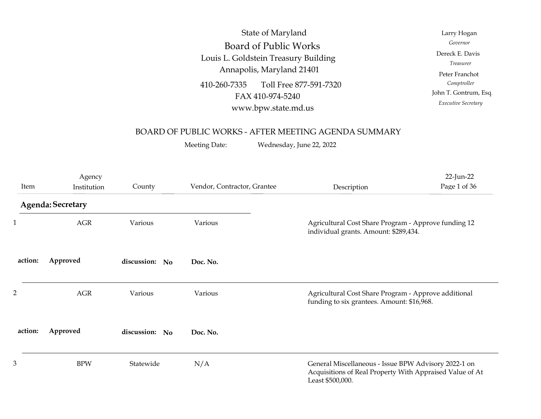| Vendor, Contractor, Grantee<br>County<br>Description                                                                                                   | 22-Jun-22<br>Page 1 of 36                                                                  |
|--------------------------------------------------------------------------------------------------------------------------------------------------------|--------------------------------------------------------------------------------------------|
| BOARD OF PUBLIC WORKS - AFTER MEETING AGENDA SUMMARY<br>Meeting Date:<br>Wednesday, June 22, 2022                                                      |                                                                                            |
| Louis L. Goldstein Treasury Building<br>Annapolis, Maryland 21401<br>410-260-7335<br>Toll Free 877-591-7320<br>FAX 410-974-5240<br>www.bpw.state.md.us | Treasurer<br>Peter Franchot<br>Comptroller<br>John T. Gontrum, Esq.<br>Executive Secretary |
| State of Maryland<br><b>Board of Public Works</b>                                                                                                      | Larry Hogan<br>Governor<br>Dereck E. Davis                                                 |

## BOARD OF PUBLIC WORKS - AFTER MEETING AGENDA SUMMARY

|         |                       |                | Louis L. Goldstein Treasury Building<br>Annapolis, Maryland 21401<br>Toll Free 877-591-7320<br>FAX 410-974-5240<br>www.bpw.state.md.us<br>BOARD OF PUBLIC WORKS - AFTER MEETING AGENDA SUMMARY<br>Wednesday, June 22, 2022 | Dereck E. Davis<br>Treasurer<br>Peter Franchot<br>Comptroller<br>John T. Gontrum, Esq.<br>Executive Secretary |                                                                                                                                      |                                                      |  |
|---------|-----------------------|----------------|----------------------------------------------------------------------------------------------------------------------------------------------------------------------------------------------------------------------------|---------------------------------------------------------------------------------------------------------------|--------------------------------------------------------------------------------------------------------------------------------------|------------------------------------------------------|--|
| Item    | Agency<br>Institution | County         | Vendor, Contractor, Grantee                                                                                                                                                                                                |                                                                                                               | Description                                                                                                                          | 22-Jun-22<br>Page 1 of 36                            |  |
|         | Agenda: Secretary     |                |                                                                                                                                                                                                                            |                                                                                                               |                                                                                                                                      |                                                      |  |
|         | $\rm{AGR}$<br>Various |                | Various                                                                                                                                                                                                                    | individual grants. Amount: \$289,434.                                                                         |                                                                                                                                      | Agricultural Cost Share Program - Approve funding 12 |  |
| action: | Approved              | discussion: No | Doc. No.                                                                                                                                                                                                                   |                                                                                                               |                                                                                                                                      |                                                      |  |
|         | AGR                   | Various        | Various                                                                                                                                                                                                                    |                                                                                                               | Agricultural Cost Share Program - Approve additional<br>funding to six grantees. Amount: \$16,968.                                   |                                                      |  |
| action: | Approved              | discussion: No | Doc. No.                                                                                                                                                                                                                   |                                                                                                               |                                                                                                                                      |                                                      |  |
| 3       | <b>BPW</b>            | Statewide      | N/A                                                                                                                                                                                                                        |                                                                                                               | General Miscellaneous - Issue BPW Advisory 2022-1 on<br>Acquisitions of Real Property With Appraised Value of At<br>Least \$500,000. |                                                      |  |
|         |                       |                |                                                                                                                                                                                                                            |                                                                                                               |                                                                                                                                      |                                                      |  |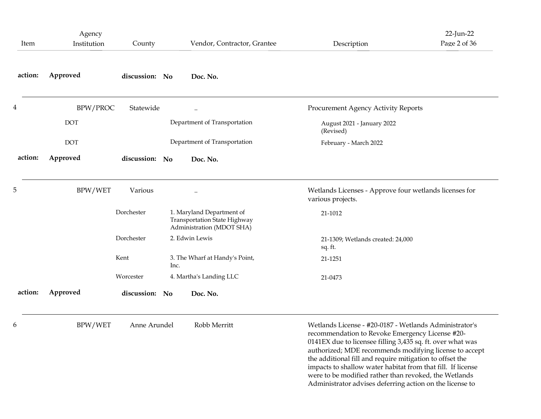| Item    | Agency<br>Institution | County         | Vendor, Contractor, Grantee                                                            | 22-Jun-22<br>Page 2 of 36<br>Description                                                                                                                                                                                                                                                                                                                                                                                                                                          |
|---------|-----------------------|----------------|----------------------------------------------------------------------------------------|-----------------------------------------------------------------------------------------------------------------------------------------------------------------------------------------------------------------------------------------------------------------------------------------------------------------------------------------------------------------------------------------------------------------------------------------------------------------------------------|
| action: | Approved              | discussion: No | Doc. No.                                                                               |                                                                                                                                                                                                                                                                                                                                                                                                                                                                                   |
|         | BPW/PROC              | Statewide      |                                                                                        | Procurement Agency Activity Reports                                                                                                                                                                                                                                                                                                                                                                                                                                               |
|         | <b>DOT</b>            |                | Department of Transportation                                                           | August 2021 - January 2022<br>(Revised)                                                                                                                                                                                                                                                                                                                                                                                                                                           |
|         | <b>DOT</b>            |                | Department of Transportation                                                           | February - March 2022                                                                                                                                                                                                                                                                                                                                                                                                                                                             |
| action: | Approved              | discussion: No | Doc. No.                                                                               |                                                                                                                                                                                                                                                                                                                                                                                                                                                                                   |
| 5       | BPW/WET               | Various        |                                                                                        | Wetlands Licenses - Approve four wetlands licenses for<br>various projects.                                                                                                                                                                                                                                                                                                                                                                                                       |
|         |                       | Dorchester     | 1. Maryland Department of<br>Transportation State Highway<br>Administration (MDOT SHA) | 21-1012                                                                                                                                                                                                                                                                                                                                                                                                                                                                           |
|         |                       | Dorchester     | 2. Edwin Lewis                                                                         | 21-1309; Wetlands created: 24,000<br>sq. ft.                                                                                                                                                                                                                                                                                                                                                                                                                                      |
|         |                       | Kent           | 3. The Wharf at Handy's Point,<br>Inc.                                                 | 21-1251                                                                                                                                                                                                                                                                                                                                                                                                                                                                           |
|         |                       | Worcester      | 4. Martha's Landing LLC                                                                | 21-0473                                                                                                                                                                                                                                                                                                                                                                                                                                                                           |
| action: | Approved              | discussion: No | Doc. No.                                                                               |                                                                                                                                                                                                                                                                                                                                                                                                                                                                                   |
|         | BPW/WET               | Anne Arundel   | Robb Merritt                                                                           | Wetlands License - #20-0187 - Wetlands Administrator's<br>recommendation to Revoke Emergency License #20-<br>0141EX due to licensee filling 3,435 sq. ft. over what was<br>authorized; MDE recommends modifying license to accept<br>the additional fill and require mitigation to offset the<br>impacts to shallow water habitat from that fill. If license<br>were to be modified rather than revoked, the Wetlands<br>Administrator advises deferring action on the license to |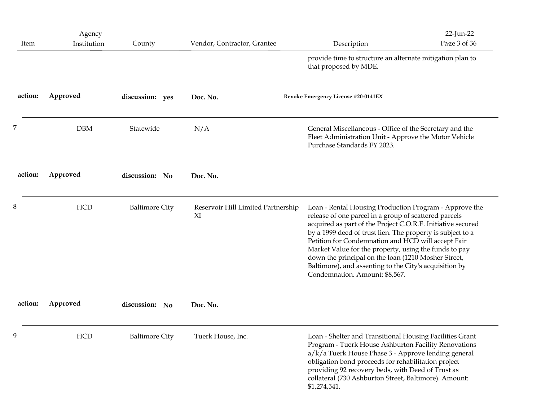| action: | Approved              | discussion: No        | Doc. No.                                 | Condemnation. Amount: \$8,567.                                                                                                                                                                                                                                                                                                                                                                                                                                               |                           |
|---------|-----------------------|-----------------------|------------------------------------------|------------------------------------------------------------------------------------------------------------------------------------------------------------------------------------------------------------------------------------------------------------------------------------------------------------------------------------------------------------------------------------------------------------------------------------------------------------------------------|---------------------------|
| 8       | <b>HCD</b>            | <b>Baltimore City</b> | Reservoir Hill Limited Partnership<br>XI | Loan - Rental Housing Production Program - Approve the<br>release of one parcel in a group of scattered parcels<br>acquired as part of the Project C.O.R.E. Initiative secured<br>by a 1999 deed of trust lien. The property is subject to a<br>Petition for Condemnation and HCD will accept Fair<br>Market Value for the property, using the funds to pay<br>down the principal on the loan (1210 Mosher Street,<br>Baltimore), and assenting to the City's acquisition by |                           |
| action: | Approved              | discussion: No        | Doc. No.                                 |                                                                                                                                                                                                                                                                                                                                                                                                                                                                              |                           |
|         | <b>DBM</b>            | Statewide             | N/A                                      | General Miscellaneous - Office of the Secretary and the<br>Fleet Administration Unit - Approve the Motor Vehicle<br>Purchase Standards FY 2023.                                                                                                                                                                                                                                                                                                                              |                           |
| action: | Approved              | discussion: yes       | Doc. No.                                 | Revoke Emergency License #20-0141EX                                                                                                                                                                                                                                                                                                                                                                                                                                          |                           |
|         |                       |                       |                                          | provide time to structure an alternate mitigation plan to<br>that proposed by MDE.                                                                                                                                                                                                                                                                                                                                                                                           |                           |
| Item    | Agency<br>Institution | County                | Vendor, Contractor, Grantee              | Description                                                                                                                                                                                                                                                                                                                                                                                                                                                                  | 22-Jun-22<br>Page 3 of 36 |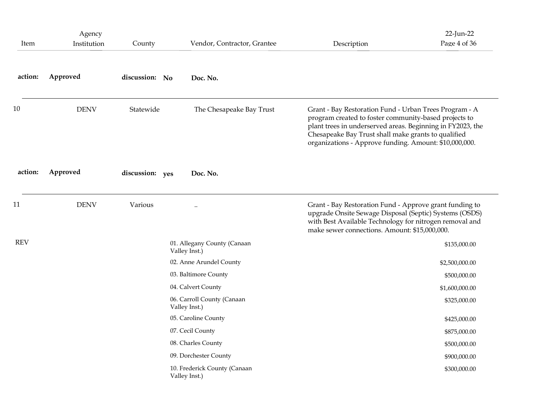| Item       | Agency<br>Institution | County          | Vendor, Contractor, Grantee                   | Description                                                                                                                                                                                                                                                                                    | 22-Jun-22<br>Page 4 of 36 |
|------------|-----------------------|-----------------|-----------------------------------------------|------------------------------------------------------------------------------------------------------------------------------------------------------------------------------------------------------------------------------------------------------------------------------------------------|---------------------------|
| action:    | Approved              | discussion: No  | Doc. No.                                      |                                                                                                                                                                                                                                                                                                |                           |
| 10         | <b>DENV</b>           | Statewide       | The Chesapeake Bay Trust                      | Grant - Bay Restoration Fund - Urban Trees Program - A<br>program created to foster community-based projects to<br>plant trees in underserved areas. Beginning in FY2023, the<br>Chesapeake Bay Trust shall make grants to qualified<br>organizations - Approve funding. Amount: \$10,000,000. |                           |
| action:    | Approved              | discussion: yes | Doc. No.                                      |                                                                                                                                                                                                                                                                                                |                           |
| 11         | <b>DENV</b>           | Various         | $\ddotsc$                                     | Grant - Bay Restoration Fund - Approve grant funding to<br>upgrade Onsite Sewage Disposal (Septic) Systems (OSDS)<br>with Best Available Technology for nitrogen removal and<br>make sewer connections. Amount: \$15,000,000.                                                                  |                           |
| <b>REV</b> |                       |                 | 01. Allegany County (Canaan                   |                                                                                                                                                                                                                                                                                                | \$135,000.00              |
|            |                       |                 | Valley Inst.)<br>02. Anne Arundel County      |                                                                                                                                                                                                                                                                                                | \$2,500,000.00            |
|            |                       |                 | 03. Baltimore County                          |                                                                                                                                                                                                                                                                                                | \$500,000.00              |
|            |                       |                 | 04. Calvert County                            |                                                                                                                                                                                                                                                                                                | \$1,600,000.00            |
|            |                       |                 | 06. Carroll County (Canaan<br>Valley Inst.)   |                                                                                                                                                                                                                                                                                                | \$325,000.00              |
|            |                       |                 | 05. Caroline County                           |                                                                                                                                                                                                                                                                                                | \$425,000.00              |
|            |                       |                 | 07. Cecil County                              |                                                                                                                                                                                                                                                                                                | \$875,000.00              |
|            |                       |                 | 08. Charles County                            |                                                                                                                                                                                                                                                                                                | \$500,000.00              |
|            |                       |                 | 09. Dorchester County                         |                                                                                                                                                                                                                                                                                                | \$900,000.00              |
|            |                       |                 | 10. Frederick County (Canaan<br>Valley Inst.) |                                                                                                                                                                                                                                                                                                | \$300,000.00              |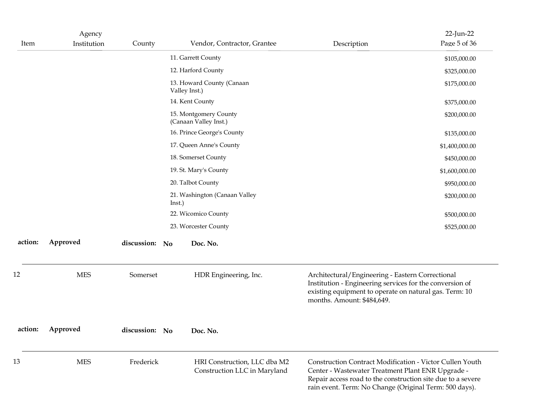| Item    | Agency<br>Institution | County         | Vendor, Contractor, Grantee                                  | 22-Jun-22<br>Page 5 of 36<br>Description                                                                                                                                                                                               |
|---------|-----------------------|----------------|--------------------------------------------------------------|----------------------------------------------------------------------------------------------------------------------------------------------------------------------------------------------------------------------------------------|
|         |                       |                | 11. Garrett County                                           | \$105,000.00                                                                                                                                                                                                                           |
|         |                       |                | 12. Harford County                                           | \$325,000.00                                                                                                                                                                                                                           |
|         |                       |                | 13. Howard County (Canaan<br>Valley Inst.)                   | \$175,000.00                                                                                                                                                                                                                           |
|         |                       |                | 14. Kent County                                              | \$375,000.00                                                                                                                                                                                                                           |
|         |                       |                | 15. Montgomery County<br>(Canaan Valley Inst.)               | \$200,000.00                                                                                                                                                                                                                           |
|         |                       |                | 16. Prince George's County                                   | \$135,000.00                                                                                                                                                                                                                           |
|         |                       |                | 17. Queen Anne's County                                      | \$1,400,000.00                                                                                                                                                                                                                         |
|         |                       |                | 18. Somerset County                                          | \$450,000.00                                                                                                                                                                                                                           |
|         |                       |                | 19. St. Mary's County                                        | \$1,600,000.00                                                                                                                                                                                                                         |
|         |                       |                | 20. Talbot County                                            | \$950,000.00                                                                                                                                                                                                                           |
|         |                       |                | 21. Washington (Canaan Valley<br>Inst.)                      | \$200,000.00                                                                                                                                                                                                                           |
|         |                       |                | 22. Wicomico County                                          | \$500,000.00                                                                                                                                                                                                                           |
|         |                       |                | 23. Worcester County                                         | \$525,000.00                                                                                                                                                                                                                           |
| action: | Approved              | discussion: No | Doc. No.                                                     |                                                                                                                                                                                                                                        |
| 12      | <b>MES</b>            | Somerset       | HDR Engineering, Inc.                                        | Architectural/Engineering - Eastern Correctional<br>Institution - Engineering services for the conversion of<br>existing equipment to operate on natural gas. Term: 10<br>months. Amount: \$484,649.                                   |
| action: | Approved              | discussion: No | Doc. No.                                                     |                                                                                                                                                                                                                                        |
| 13      | <b>MES</b>            | Frederick      | HRI Construction, LLC dba M2<br>Construction LLC in Maryland | Construction Contract Modification - Victor Cullen Youth<br>Center - Wastewater Treatment Plant ENR Upgrade -<br>Repair access road to the construction site due to a severe<br>rain event. Term: No Change (Original Term: 500 days). |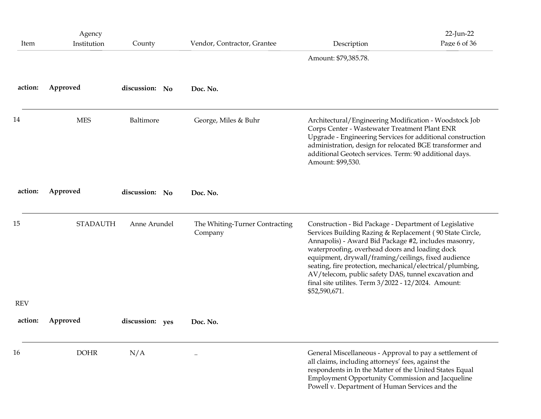| Item       | Agency<br>Institution           | County          | Vendor, Contractor, Grantee               | Description                                                                                                                                                                                                                                                                                                                                                                                                                                                                      | $22$ -Jun-22<br>Page 6 of 36 |
|------------|---------------------------------|-----------------|-------------------------------------------|----------------------------------------------------------------------------------------------------------------------------------------------------------------------------------------------------------------------------------------------------------------------------------------------------------------------------------------------------------------------------------------------------------------------------------------------------------------------------------|------------------------------|
|            |                                 |                 |                                           | Amount: \$79,385.78.                                                                                                                                                                                                                                                                                                                                                                                                                                                             |                              |
| action:    | Approved                        | discussion: No  | Doc. No.                                  |                                                                                                                                                                                                                                                                                                                                                                                                                                                                                  |                              |
| 14         | <b>MES</b>                      | Baltimore       | George, Miles & Buhr                      | Architectural/Engineering Modification - Woodstock Job<br>Corps Center - Wastewater Treatment Plant ENR<br>Upgrade - Engineering Services for additional construction<br>administration, design for relocated BGE transformer and<br>additional Geotech services. Term: 90 additional days.<br>Amount: \$99,530.                                                                                                                                                                 |                              |
| action:    | Approved                        | discussion: No  | Doc. No.                                  |                                                                                                                                                                                                                                                                                                                                                                                                                                                                                  |                              |
| 15         | <b>STADAUTH</b><br>Anne Arundel |                 | The Whiting-Turner Contracting<br>Company | Construction - Bid Package - Department of Legislative<br>Services Building Razing & Replacement (90 State Circle,<br>Annapolis) - Award Bid Package #2, includes masonry,<br>waterproofing, overhead doors and loading dock<br>equipment, drywall/framing/ceilings, fixed audience<br>seating, fire protection, mechanical/electrical/plumbing,<br>AV/telecom, public safety DAS, tunnel excavation and<br>final site utilites. Term 3/2022 - 12/2024. Amount:<br>\$52,590,671. |                              |
| <b>REV</b> |                                 |                 |                                           |                                                                                                                                                                                                                                                                                                                                                                                                                                                                                  |                              |
| action:    | Approved                        | discussion: yes | Doc. No.                                  |                                                                                                                                                                                                                                                                                                                                                                                                                                                                                  |                              |
| 16         | <b>DOHR</b>                     | N/A             |                                           | General Miscellaneous - Approval to pay a settlement of<br>all claims, including attorneys' fees, against the<br>respondents in In the Matter of the United States Equal<br>Employment Opportunity Commission and Jacqueline<br>Powell v. Department of Human Services and the                                                                                                                                                                                                   |                              |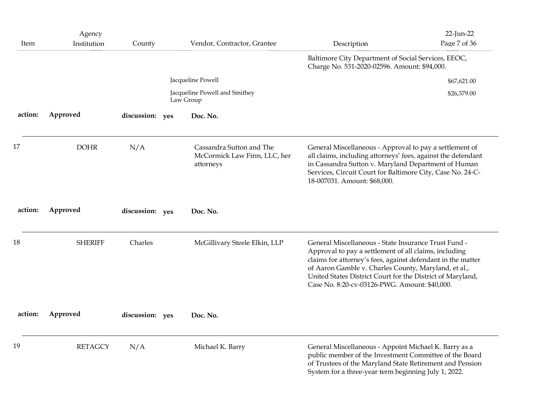| Item    | Agency<br>Institution | County          | Vendor, Contractor, Grantee                                           | Description                                                                                                                                                                                                                                                                                                                                         | 22-Jun-22<br>Page 7 of 36 |
|---------|-----------------------|-----------------|-----------------------------------------------------------------------|-----------------------------------------------------------------------------------------------------------------------------------------------------------------------------------------------------------------------------------------------------------------------------------------------------------------------------------------------------|---------------------------|
|         |                       |                 |                                                                       | Baltimore City Department of Social Services, EEOC,<br>Charge No. 531-2020-02596. Amount: \$94,000.                                                                                                                                                                                                                                                 |                           |
|         |                       |                 | Jacqueline Powell                                                     |                                                                                                                                                                                                                                                                                                                                                     | \$67,621.00               |
|         |                       |                 | Jacqueline Powell and Smithey<br>Law Group                            |                                                                                                                                                                                                                                                                                                                                                     | \$26,379.00               |
| action: | Approved              | discussion: yes | Doc. No.                                                              |                                                                                                                                                                                                                                                                                                                                                     |                           |
| 17      | <b>DOHR</b>           | N/A             | Cassandra Sutton and The<br>McCormick Law Firm, LLC, her<br>attorneys | General Miscellaneous - Approval to pay a settlement of<br>all claims, including attorneys' fees, against the defendant<br>in Cassandra Sutton v. Maryland Department of Human<br>Services, Circuit Court for Baltimore City, Case No. 24-C-<br>18-007031. Amount: \$68,000.                                                                        |                           |
| action: | Approved              | discussion: yes | Doc. No.                                                              |                                                                                                                                                                                                                                                                                                                                                     |                           |
| 18      | <b>SHERIFF</b>        | Charles         | McGillivary Steele Elkin, LLP                                         | General Miscellaneous - State Insurance Trust Fund -<br>Approval to pay a settlement of all claims, including<br>claims for attorney's fees, against defendant in the matter<br>of Aaron Gamble v. Charles County, Maryland, et al.,<br>United States District Court for the District of Maryland,<br>Case No. 8:20-cv-03126-PWG. Amount: \$40,000. |                           |
| action: | Approved              | discussion: yes | Doc. No.                                                              |                                                                                                                                                                                                                                                                                                                                                     |                           |
| 19      | <b>RETAGCY</b>        | N/A             | Michael K. Barry                                                      | General Miscellaneous - Appoint Michael K. Barry as a<br>public member of the Investment Committee of the Board<br>of Trustees of the Maryland State Retirement and Pension<br>System for a three-year term beginning July 1, 2022.                                                                                                                 |                           |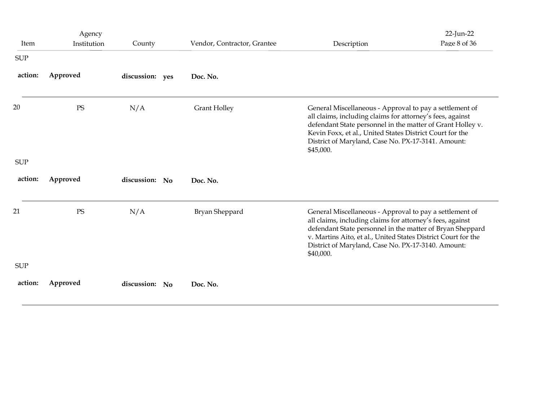|                                     | Agency                 |                 |                             |                                                                                                                                                                                                                                                                                                                       | 22-Jun-22<br>Page 8 of 36 |  |
|-------------------------------------|------------------------|-----------------|-----------------------------|-----------------------------------------------------------------------------------------------------------------------------------------------------------------------------------------------------------------------------------------------------------------------------------------------------------------------|---------------------------|--|
| Item<br>$\ensuremath{\mathsf{SUP}}$ | Institution            | County          | Vendor, Contractor, Grantee | Description                                                                                                                                                                                                                                                                                                           |                           |  |
| action:                             | Approved               | discussion: yes | Doc. No.                    |                                                                                                                                                                                                                                                                                                                       |                           |  |
| 20                                  | $\mathop{\mathrm{PS}}$ | N/A             | <b>Grant Holley</b>         | General Miscellaneous - Approval to pay a settlement of<br>all claims, including claims for attorney's fees, against<br>defendant State personnel in the matter of Grant Holley v.<br>Kevin Foxx, et al., United States District Court for the<br>District of Maryland, Case No. PX-17-3141. Amount:<br>\$45,000.     |                           |  |
| <b>SUP</b>                          |                        |                 |                             |                                                                                                                                                                                                                                                                                                                       |                           |  |
| action:                             | Approved               | discussion: No  | Doc. No.                    |                                                                                                                                                                                                                                                                                                                       |                           |  |
| 21                                  | $\rm PS$               | N/A             | Bryan Sheppard              | General Miscellaneous - Approval to pay a settlement of<br>all claims, including claims for attorney's fees, against<br>defendant State personnel in the matter of Bryan Sheppard<br>v. Martins Aito, et al., United States District Court for the<br>District of Maryland, Case No. PX-17-3140. Amount:<br>\$40,000. |                           |  |
| <b>SUP</b>                          |                        |                 |                             |                                                                                                                                                                                                                                                                                                                       |                           |  |
| action:                             | Approved               | discussion: No  | Doc. No.                    |                                                                                                                                                                                                                                                                                                                       |                           |  |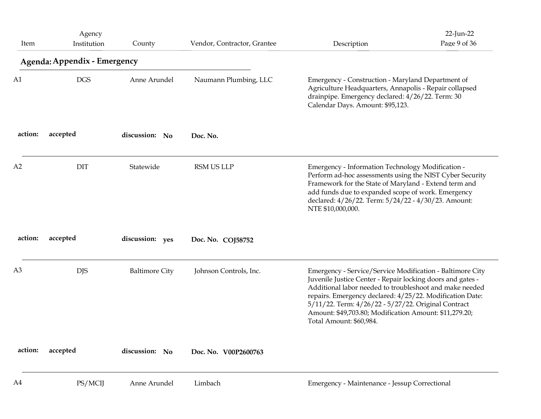| Item           | Agency<br>Institution                      | County                | Vendor, Contractor, Grantee | Description                                                                                                                                                                                                                                                                                                                                                                                | 22-Jun-22<br>Page 9 of 36 |
|----------------|--------------------------------------------|-----------------------|-----------------------------|--------------------------------------------------------------------------------------------------------------------------------------------------------------------------------------------------------------------------------------------------------------------------------------------------------------------------------------------------------------------------------------------|---------------------------|
| A <sub>1</sub> | Agenda: Appendix - Emergency<br><b>DGS</b> | Anne Arundel          | Naumann Plumbing, LLC       | Emergency - Construction - Maryland Department of<br>Agriculture Headquarters, Annapolis - Repair collapsed<br>drainpipe. Emergency declared: 4/26/22. Term: 30<br>Calendar Days. Amount: \$95,123.                                                                                                                                                                                        |                           |
| action:        | accepted                                   | discussion: No        | Doc. No.                    |                                                                                                                                                                                                                                                                                                                                                                                            |                           |
| A2             | <b>DIT</b>                                 | Statewide             | RSM US LLP                  | Emergency - Information Technology Modification -<br>Perform ad-hoc assessments using the NIST Cyber Security<br>Framework for the State of Maryland - Extend term and<br>add funds due to expanded scope of work. Emergency<br>declared: 4/26/22. Term: 5/24/22 - 4/30/23. Amount:<br>NTE \$10,000,000.                                                                                   |                           |
| action:        | accepted                                   | discussion: yes       | Doc. No. COJ58752           |                                                                                                                                                                                                                                                                                                                                                                                            |                           |
| A <sub>3</sub> | <b>DJS</b>                                 | <b>Baltimore City</b> | Johnson Controls, Inc.      | Emergency - Service/Service Modification - Baltimore City<br>Juvenile Justice Center - Repair locking doors and gates -<br>Additional labor needed to troubleshoot and make needed<br>repairs. Emergency declared: 4/25/22. Modification Date:<br>5/11/22. Term: 4/26/22 - 5/27/22. Original Contract<br>Amount: \$49,703.80; Modification Amount: \$11,279.20;<br>Total Amount: \$60,984. |                           |
| action:        | accepted                                   | discussion: No        | Doc. No. V00P2600763        |                                                                                                                                                                                                                                                                                                                                                                                            |                           |
| A4             | PS/MCIJ                                    | Anne Arundel          | Limbach                     | Emergency - Maintenance - Jessup Correctional                                                                                                                                                                                                                                                                                                                                              |                           |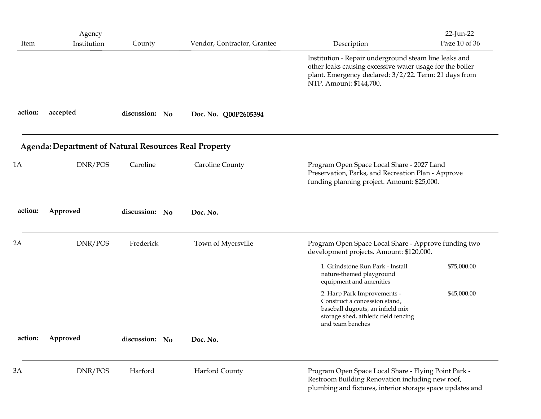| Item    | Agency<br>Institution                                        | County         | Vendor, Contractor, Grantee | Description                                                                                                                                                                                           | 22-Jun-22<br>Page 10 of 36 |
|---------|--------------------------------------------------------------|----------------|-----------------------------|-------------------------------------------------------------------------------------------------------------------------------------------------------------------------------------------------------|----------------------------|
|         |                                                              |                |                             | Institution - Repair underground steam line leaks and<br>other leaks causing excessive water usage for the boiler<br>plant. Emergency declared: 3/2/22. Term: 21 days from<br>NTP. Amount: \$144,700. |                            |
| action: | accepted                                                     | discussion: No | Doc. No. Q00P2605394        |                                                                                                                                                                                                       |                            |
|         | <b>Agenda: Department of Natural Resources Real Property</b> |                |                             |                                                                                                                                                                                                       |                            |
| 1A      | DNR/POS                                                      | Caroline       | <b>Caroline County</b>      | Program Open Space Local Share - 2027 Land<br>Preservation, Parks, and Recreation Plan - Approve<br>funding planning project. Amount: \$25,000.                                                       |                            |
| action: | Approved                                                     | discussion: No | Doc. No.                    |                                                                                                                                                                                                       |                            |
| 2A      | DNR/POS                                                      | Frederick      | Town of Myersville          | Program Open Space Local Share - Approve funding two<br>development projects. Amount: \$120,000.                                                                                                      |                            |
|         |                                                              |                |                             | 1. Grindstone Run Park - Install<br>nature-themed playground<br>equipment and amenities                                                                                                               | \$75,000.00                |
|         |                                                              |                |                             | 2. Harp Park Improvements -<br>Construct a concession stand,<br>baseball dugouts, an infield mix<br>storage shed, athletic field fencing<br>and team benches                                          | \$45,000.00                |
| action: | Approved                                                     | discussion: No | Doc. No.                    |                                                                                                                                                                                                       |                            |
| 3A      | DNR/POS                                                      | Harford        | Harford County              | Program Open Space Local Share - Flying Point Park -<br>Restroom Building Renovation including new roof,<br>plumbing and fixtures, interior storage space updates and                                 |                            |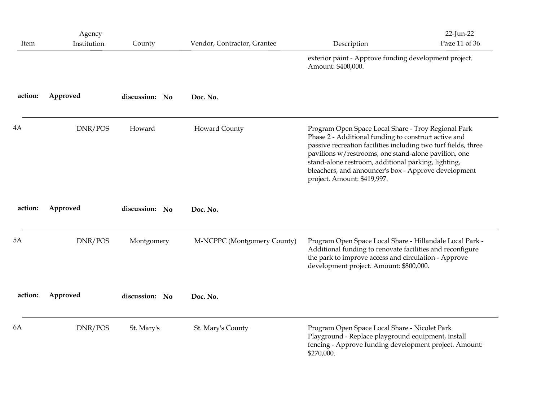|         | Agency      |                |                             |                                                                                                                                                                                                                                                                                                                                                                                     | 22-Jun-22     |
|---------|-------------|----------------|-----------------------------|-------------------------------------------------------------------------------------------------------------------------------------------------------------------------------------------------------------------------------------------------------------------------------------------------------------------------------------------------------------------------------------|---------------|
| Item    | Institution | County         | Vendor, Contractor, Grantee | Description<br>exterior paint - Approve funding development project.<br>Amount: \$400,000.                                                                                                                                                                                                                                                                                          | Page 11 of 36 |
| action: | Approved    | discussion: No | Doc. No.                    |                                                                                                                                                                                                                                                                                                                                                                                     |               |
| 4A      | DNR/POS     | Howard         | Howard County               | Program Open Space Local Share - Troy Regional Park<br>Phase 2 - Additional funding to construct active and<br>passive recreation facilities including two turf fields, three<br>pavilions w/restrooms, one stand-alone pavilion, one<br>stand-alone restroom, additional parking, lighting,<br>bleachers, and announcer's box - Approve development<br>project. Amount: \$419,997. |               |
| action: | Approved    | discussion: No | Doc. No.                    |                                                                                                                                                                                                                                                                                                                                                                                     |               |
| 5A      | DNR/POS     | Montgomery     | M-NCPPC (Montgomery County) | Program Open Space Local Share - Hillandale Local Park -<br>Additional funding to renovate facilities and reconfigure<br>the park to improve access and circulation - Approve<br>development project. Amount: \$800,000.                                                                                                                                                            |               |
| action: | Approved    | discussion: No | Doc. No.                    |                                                                                                                                                                                                                                                                                                                                                                                     |               |
| 6A      | DNR/POS     | St. Mary's     | St. Mary's County           | Program Open Space Local Share - Nicolet Park<br>Playground - Replace playground equipment, install<br>fencing - Approve funding development project. Amount:<br>\$270,000.                                                                                                                                                                                                         |               |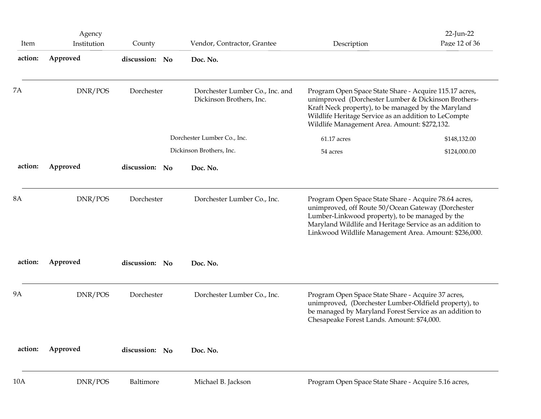| Item      | Agency<br>Institution | County         | Vendor, Contractor, Grantee                                 | Description                                                                                                                                                                                                                                                                         | 22-Jun-22<br>Page 12 of 36 |
|-----------|-----------------------|----------------|-------------------------------------------------------------|-------------------------------------------------------------------------------------------------------------------------------------------------------------------------------------------------------------------------------------------------------------------------------------|----------------------------|
| action:   | Approved              | discussion: No | Doc. No.                                                    |                                                                                                                                                                                                                                                                                     |                            |
| <b>7A</b> | DNR/POS               | Dorchester     | Dorchester Lumber Co., Inc. and<br>Dickinson Brothers, Inc. | Program Open Space State Share - Acquire 115.17 acres,<br>unimproved (Dorchester Lumber & Dickinson Brothers-<br>Kraft Neck property), to be managed by the Maryland<br>Wildlife Heritage Service as an addition to LeCompte<br>Wildlife Management Area. Amount: \$272,132.        |                            |
|           |                       |                | Dorchester Lumber Co., Inc.                                 | $61.17\rm\; acres$                                                                                                                                                                                                                                                                  | \$148,132.00               |
|           |                       |                | Dickinson Brothers, Inc.                                    | 54 acres                                                                                                                                                                                                                                                                            | \$124,000.00               |
| action:   | Approved              | discussion: No | Doc. No.                                                    |                                                                                                                                                                                                                                                                                     |                            |
| <b>8A</b> | DNR/POS               | Dorchester     | Dorchester Lumber Co., Inc.                                 | Program Open Space State Share - Acquire 78.64 acres,<br>unimproved, off Route 50/Ocean Gateway (Dorchester<br>Lumber-Linkwood property), to be managed by the<br>Maryland Wildlife and Heritage Service as an addition to<br>Linkwood Wildlife Management Area. Amount: \$236,000. |                            |
| action:   | Approved              | discussion: No | Doc. No.                                                    |                                                                                                                                                                                                                                                                                     |                            |
| <b>9A</b> | DNR/POS               | Dorchester     | Dorchester Lumber Co., Inc.                                 | Program Open Space State Share - Acquire 37 acres,<br>unimproved, (Dorchester Lumber-Oldfield property), to<br>be managed by Maryland Forest Service as an addition to<br>Chesapeake Forest Lands. Amount: \$74,000.                                                                |                            |
| action:   | Approved              | discussion: No | Doc. No.                                                    |                                                                                                                                                                                                                                                                                     |                            |
| 10A       | DNR/POS               | Baltimore      | Michael B. Jackson                                          | Program Open Space State Share - Acquire 5.16 acres,                                                                                                                                                                                                                                |                            |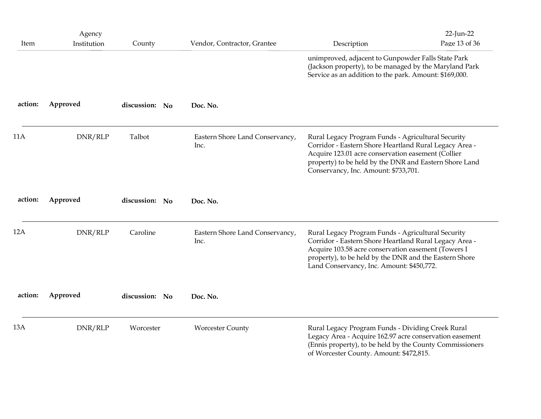| 13A     | DNR/RLP               | Worcester      | <b>Worcester County</b>                 | Rural Legacy Program Funds - Dividing Creek Rural<br>Legacy Area - Acquire 162.97 acre conservation easement<br>(Ennis property), to be held by the County Commissioners                                                                                                   |                            |
|---------|-----------------------|----------------|-----------------------------------------|----------------------------------------------------------------------------------------------------------------------------------------------------------------------------------------------------------------------------------------------------------------------------|----------------------------|
| action: | Approved              | discussion: No | Doc. No.                                |                                                                                                                                                                                                                                                                            |                            |
| 12A     | DNR/RLP               | Caroline       | Eastern Shore Land Conservancy,<br>Inc. | Rural Legacy Program Funds - Agricultural Security<br>Corridor - Eastern Shore Heartland Rural Legacy Area -<br>Acquire 103.58 acre conservation easement (Towers I<br>property), to be held by the DNR and the Eastern Shore<br>Land Conservancy, Inc. Amount: \$450,772. |                            |
| action: | Approved              | discussion: No | Doc. No.                                |                                                                                                                                                                                                                                                                            |                            |
| 11A     | DNR/RLP               | Talbot         | Eastern Shore Land Conservancy,<br>Inc. | Rural Legacy Program Funds - Agricultural Security<br>Corridor - Eastern Shore Heartland Rural Legacy Area -<br>Acquire 123.01 acre conservation easement (Collier<br>property) to be held by the DNR and Eastern Shore Land<br>Conservancy, Inc. Amount: \$733,701.       |                            |
| action: | Approved              | discussion: No | Doc. No.                                |                                                                                                                                                                                                                                                                            |                            |
|         |                       |                |                                         | unimproved, adjacent to Gunpowder Falls State Park<br>(Jackson property), to be managed by the Maryland Park<br>Service as an addition to the park. Amount: \$169,000.                                                                                                     |                            |
| Item    | Agency<br>Institution | County         | Vendor, Contractor, Grantee             | Description                                                                                                                                                                                                                                                                | 22-Jun-22<br>Page 13 of 36 |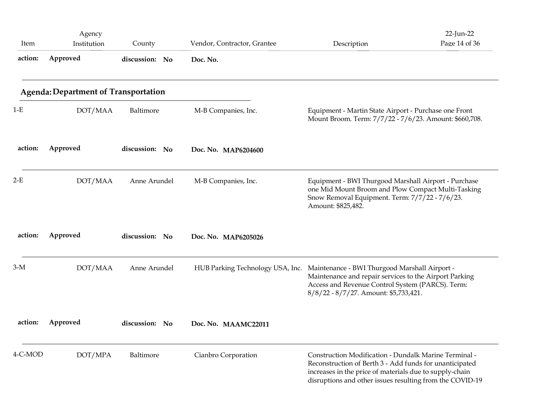| Item    | Agency<br>Institution                       | County         | Vendor, Contractor, Grantee                                                    | Description                                                                                                                                                                                                                             | 22-Jun-22<br>Page 14 of 36 |
|---------|---------------------------------------------|----------------|--------------------------------------------------------------------------------|-----------------------------------------------------------------------------------------------------------------------------------------------------------------------------------------------------------------------------------------|----------------------------|
| action: | Approved                                    | discussion: No | Doc. No.                                                                       |                                                                                                                                                                                                                                         |                            |
|         | <b>Agenda: Department of Transportation</b> |                |                                                                                |                                                                                                                                                                                                                                         |                            |
| $1-E$   | DOT/MAA                                     | Baltimore      | M-B Companies, Inc.                                                            | Equipment - Martin State Airport - Purchase one Front<br>Mount Broom. Term: 7/7/22 - 7/6/23. Amount: \$660,708.                                                                                                                         |                            |
| action: | Approved                                    | discussion: No | Doc. No. MAP6204600                                                            |                                                                                                                                                                                                                                         |                            |
| $2-E$   | DOT/MAA                                     | Anne Arundel   | M-B Companies, Inc.                                                            | Equipment - BWI Thurgood Marshall Airport - Purchase<br>one Mid Mount Broom and Plow Compact Multi-Tasking<br>Snow Removal Equipment. Term: 7/7/22 - 7/6/23.<br>Amount: \$825,482.                                                      |                            |
| action: | Approved                                    | discussion: No | Doc. No. MAP6205026                                                            |                                                                                                                                                                                                                                         |                            |
| $3-M$   | DOT/MAA                                     | Anne Arundel   | HUB Parking Technology USA, Inc. Maintenance - BWI Thurgood Marshall Airport - | Maintenance and repair services to the Airport Parking<br>Access and Revenue Control System (PARCS). Term:<br>8/8/22 - 8/7/27. Amount: \$5,733,421.                                                                                     |                            |
| action: | Approved                                    | discussion: No | Doc. No. MAAMC22011                                                            |                                                                                                                                                                                                                                         |                            |
| 4-C-MOD | DOT/MPA                                     | Baltimore      | Cianbro Corporation                                                            | Construction Modification - Dundalk Marine Terminal -<br>Reconstruction of Berth 3 - Add funds for unanticipated<br>increases in the price of materials due to supply-chain<br>disruptions and other issues resulting from the COVID-19 |                            |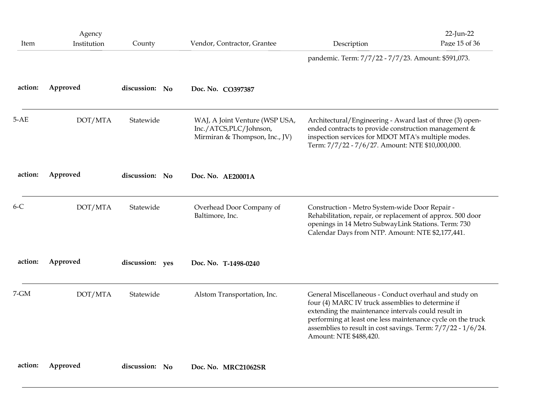| Item     | Agency<br>Institution | County          | Vendor, Contractor, Grantee                                                                | Description                                                                                                                                                                                                                                                                                                                | 22-Jun-22<br>Page 15 of 36 |  |
|----------|-----------------------|-----------------|--------------------------------------------------------------------------------------------|----------------------------------------------------------------------------------------------------------------------------------------------------------------------------------------------------------------------------------------------------------------------------------------------------------------------------|----------------------------|--|
|          |                       |                 |                                                                                            | pandemic. Term: 7/7/22 - 7/7/23. Amount: \$591,073.                                                                                                                                                                                                                                                                        |                            |  |
| action:  | Approved              | discussion: No  | Doc. No. CO397387                                                                          |                                                                                                                                                                                                                                                                                                                            |                            |  |
| $5-AE$   | DOT/MTA               | Statewide       | WAJ, A Joint Venture (WSP USA,<br>Inc./ATCS,PLC/Johnson,<br>Mirmiran & Thompson, Inc., JV) | Architectural/Engineering - Award last of three (3) open-<br>ended contracts to provide construction management &<br>inspection services for MDOT MTA's multiple modes.<br>Term: 7/7/22 - 7/6/27. Amount: NTE \$10,000,000.                                                                                                |                            |  |
| action:  | Approved              | discussion: No  | Doc. No. AE20001A                                                                          |                                                                                                                                                                                                                                                                                                                            |                            |  |
| $6-C$    | DOT/MTA               | Statewide       | Overhead Door Company of<br>Baltimore, Inc.                                                | Construction - Metro System-wide Door Repair -<br>Rehabilitation, repair, or replacement of approx. 500 door<br>openings in 14 Metro SubwayLink Stations. Term: 730<br>Calendar Days from NTP. Amount: NTE \$2,177,441.                                                                                                    |                            |  |
| action:  | Approved              | discussion: yes | Doc. No. T-1498-0240                                                                       |                                                                                                                                                                                                                                                                                                                            |                            |  |
| $7 - GM$ | DOT/MTA               | Statewide       | Alstom Transportation, Inc.                                                                | General Miscellaneous - Conduct overhaul and study on<br>four (4) MARC IV truck assemblies to determine if<br>extending the maintenance intervals could result in<br>performing at least one less maintenance cycle on the truck<br>assemblies to result in cost savings. Term: 7/7/22 - 1/6/24.<br>Amount: NTE \$488,420. |                            |  |
|          |                       |                 |                                                                                            |                                                                                                                                                                                                                                                                                                                            |                            |  |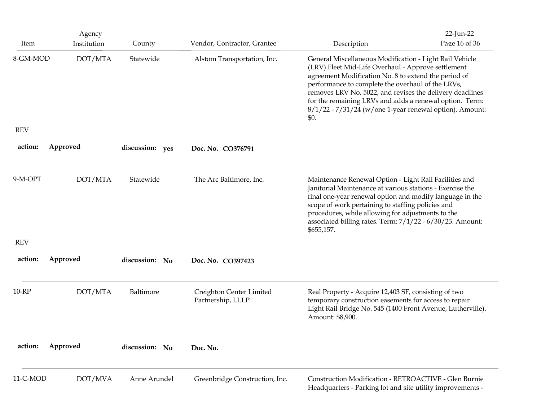|                  | Agency                 |                     |                                                            |                                                                                                                                                                                                                                                                                                                                                                                                                                     | $22$ -Jun-22  |
|------------------|------------------------|---------------------|------------------------------------------------------------|-------------------------------------------------------------------------------------------------------------------------------------------------------------------------------------------------------------------------------------------------------------------------------------------------------------------------------------------------------------------------------------------------------------------------------------|---------------|
| Item<br>8-GM-MOD | Institution<br>DOT/MTA | County<br>Statewide | Vendor, Contractor, Grantee<br>Alstom Transportation, Inc. | Description<br>General Miscellaneous Modification - Light Rail Vehicle<br>(LRV) Fleet Mid-Life Overhaul - Approve settlement<br>agreement Modification No. 8 to extend the period of<br>performance to complete the overhaul of the LRVs,<br>removes LRV No. 5022, and revises the delivery deadlines<br>for the remaining LRVs and adds a renewal option. Term:<br>8/1/22 - 7/31/24 (w/one 1-year renewal option). Amount:<br>\$0. | Page 16 of 36 |
| <b>REV</b>       |                        |                     |                                                            |                                                                                                                                                                                                                                                                                                                                                                                                                                     |               |
| action:          | Approved               | discussion: yes     | Doc. No. CO376791                                          |                                                                                                                                                                                                                                                                                                                                                                                                                                     |               |
| 9-M-OPT          | DOT/MTA                | Statewide           | The Arc Baltimore, Inc.                                    | Maintenance Renewal Option - Light Rail Facilities and<br>Janitorial Maintenance at various stations - Exercise the<br>final one-year renewal option and modify language in the<br>scope of work pertaining to staffing policies and<br>procedures, while allowing for adjustments to the<br>associated billing rates. Term: 7/1/22 - 6/30/23. Amount:<br>\$655,157.                                                                |               |
| <b>REV</b>       |                        |                     |                                                            |                                                                                                                                                                                                                                                                                                                                                                                                                                     |               |
| action:          | Approved               | discussion: No      | Doc. No. CO397423                                          |                                                                                                                                                                                                                                                                                                                                                                                                                                     |               |
| 10-RP            | DOT/MTA                | Baltimore           | Creighton Center Limited<br>Partnership, LLLP              | Real Property - Acquire 12,403 SF, consisting of two<br>temporary construction easements for access to repair<br>Light Rail Bridge No. 545 (1400 Front Avenue, Lutherville).<br>Amount: \$8,900.                                                                                                                                                                                                                                    |               |
| action:          | Approved               | discussion: No      | Doc. No.                                                   |                                                                                                                                                                                                                                                                                                                                                                                                                                     |               |
| 11-C-MOD         | DOT/MVA                | Anne Arundel        | Greenbridge Construction, Inc.                             | Construction Modification - RETROACTIVE - Glen Burnie<br>Headquarters - Parking lot and site utility improvements -                                                                                                                                                                                                                                                                                                                 |               |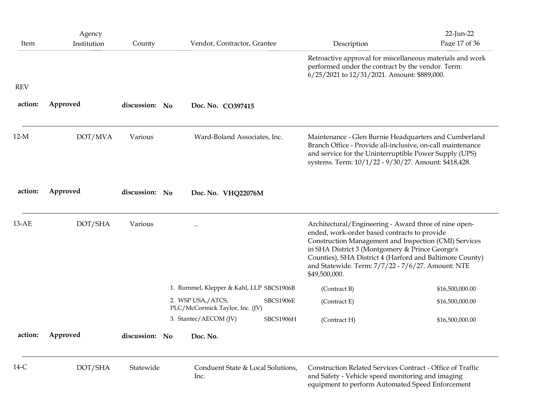| $14-C$     | DOT/SHA               | Statewide      | Conduent State & Local Solutions,<br>Inc.                                                                            | Construction Related Services Contract - Office of Traffic<br>and Safety - Vehicle speed monitoring and imaging<br>equipment to perform Automated Speed Enforcement                                                                                                                                                                                 |                                    |
|------------|-----------------------|----------------|----------------------------------------------------------------------------------------------------------------------|-----------------------------------------------------------------------------------------------------------------------------------------------------------------------------------------------------------------------------------------------------------------------------------------------------------------------------------------------------|------------------------------------|
| action:    | Approved              | discussion: No | Doc. No.                                                                                                             |                                                                                                                                                                                                                                                                                                                                                     |                                    |
|            |                       |                | 3. Stantec/AECOM (JV)<br>SBCS1906H                                                                                   | (Contract H)                                                                                                                                                                                                                                                                                                                                        | \$16,500,000.00                    |
|            |                       |                | 1. Rummel, Klepper & Kahl, LLP SBCS1906B<br>2. WSP USA,/ATCS,<br><b>SBCS1906E</b><br>PLC/McCormick Taylor, Inc. (JV) | (Contract B)<br>(Contract E)                                                                                                                                                                                                                                                                                                                        | \$16,500,000.00<br>\$16,500,000.00 |
| 13-AE      | DOT/SHA               | Various        | $\ddotsc$                                                                                                            | Architectural/Engineering - Award three of nine open-<br>ended, work-order based contracts to provide<br>Construction Management and Inspection (CMI) Services<br>in SHA District 3 (Montgomery & Prince George's<br>Counties), SHA District 4 (Harford and Baltimore County)<br>and Statewide. Term: 7/7/22 - 7/6/27. Amount: NTE<br>\$49,500,000. |                                    |
| action:    | Approved              | discussion: No | Doc. No. VHQ22076M                                                                                                   |                                                                                                                                                                                                                                                                                                                                                     |                                    |
| $12-M$     | DOT/MVA               | Various        | Ward-Boland Associates, Inc.                                                                                         | Maintenance - Glen Burnie Headquarters and Cumberland<br>Branch Office - Provide all-inclusive, on-call maintenance<br>and service for the Uninterruptible Power Supply (UPS)<br>systems. Term: 10/1/22 - 9/30/27. Amount: \$418,428.                                                                                                               |                                    |
| action:    | Approved              | discussion: No | Doc. No. CO397415                                                                                                    |                                                                                                                                                                                                                                                                                                                                                     |                                    |
| <b>REV</b> |                       |                |                                                                                                                      |                                                                                                                                                                                                                                                                                                                                                     |                                    |
|            |                       |                |                                                                                                                      | Retroactive approval for miscellaneous materials and work<br>performed under the contract by the vendor. Term:<br>6/25/2021 to 12/31/2021. Amount: \$889,000.                                                                                                                                                                                       |                                    |
| Item       | Agency<br>Institution | County         | Vendor, Contractor, Grantee                                                                                          | Description                                                                                                                                                                                                                                                                                                                                         | 22-Jun-22<br>Page 17 of 36         |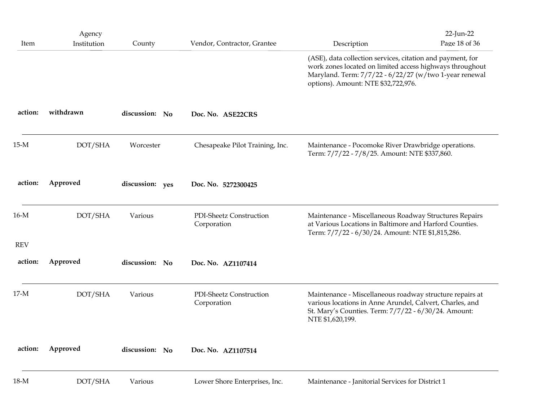| 18-M               | DOT/SHA               | Various         | Lower Shore Enterprises, Inc.          | Maintenance - Janitorial Services for District 1                                                                                                                                                                        |                            |
|--------------------|-----------------------|-----------------|----------------------------------------|-------------------------------------------------------------------------------------------------------------------------------------------------------------------------------------------------------------------------|----------------------------|
| action:            | Approved              | discussion: No  | Doc. No. AZ1107514                     |                                                                                                                                                                                                                         |                            |
| $17-M$             | DOT/SHA               | Various         | PDI-Sheetz Construction<br>Corporation | Maintenance - Miscellaneous roadway structure repairs at<br>various locations in Anne Arundel, Calvert, Charles, and<br>St. Mary's Counties. Term: 7/7/22 - 6/30/24. Amount:<br>NTE \$1,620,199.                        |                            |
| action:            | Approved              | discussion: No  | Doc. No. AZ1107414                     |                                                                                                                                                                                                                         |                            |
| 16-M<br><b>REV</b> | DOT/SHA               | Various         | PDI-Sheetz Construction<br>Corporation | Maintenance - Miscellaneous Roadway Structures Repairs<br>at Various Locations in Baltimore and Harford Counties.<br>Term: 7/7/22 - 6/30/24. Amount: NTE \$1,815,286.                                                   |                            |
| action:            | Approved              | discussion: yes | Doc. No. 5272300425                    |                                                                                                                                                                                                                         |                            |
| $15-M$             | DOT/SHA               | Worcester       | Chesapeake Pilot Training, Inc.        | Maintenance - Pocomoke River Drawbridge operations.<br>Term: 7/7/22 - 7/8/25. Amount: NTE \$337,860.                                                                                                                    |                            |
| action:            | withdrawn             | discussion: No  | Doc. No. ASE22CRS                      |                                                                                                                                                                                                                         |                            |
|                    |                       |                 |                                        | (ASE), data collection services, citation and payment, for<br>work zones located on limited access highways throughout<br>Maryland. Term: 7/7/22 - 6/22/27 (w/two 1-year renewal<br>options). Amount: NTE \$32,722,976. |                            |
| Item               | Agency<br>Institution | County          | Vendor, Contractor, Grantee            | Description                                                                                                                                                                                                             | 22-Jun-22<br>Page 18 of 36 |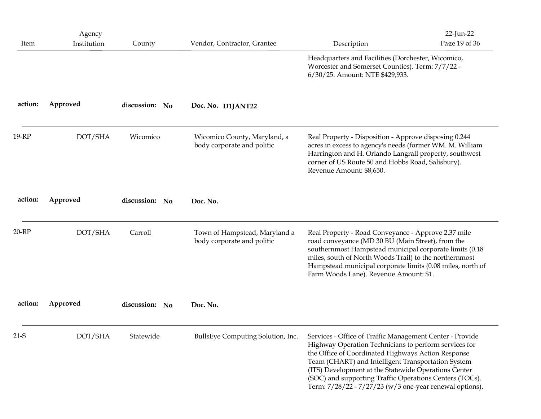|         | Agency                                                                                                                                                                                                                                                                                                                                            |                |                                                             |                                                                                                                                                                                                                                                                                                                                                                                                             | $22$ -Jun-22  |
|---------|---------------------------------------------------------------------------------------------------------------------------------------------------------------------------------------------------------------------------------------------------------------------------------------------------------------------------------------------------|----------------|-------------------------------------------------------------|-------------------------------------------------------------------------------------------------------------------------------------------------------------------------------------------------------------------------------------------------------------------------------------------------------------------------------------------------------------------------------------------------------------|---------------|
| Item    | Institution                                                                                                                                                                                                                                                                                                                                       | County         | Vendor, Contractor, Grantee                                 | Description<br>Headquarters and Facilities (Dorchester, Wicomico,<br>Worcester and Somerset Counties). Term: 7/7/22 -<br>6/30/25. Amount: NTE \$429,933.                                                                                                                                                                                                                                                    | Page 19 of 36 |
| action: | Approved                                                                                                                                                                                                                                                                                                                                          | discussion: No | Doc. No. D1JANT22                                           |                                                                                                                                                                                                                                                                                                                                                                                                             |               |
| 19-RP   | DOT/SHA<br>Wicomico<br>Wicomico County, Maryland, a<br>Real Property - Disposition - Approve disposing 0.244<br>body corporate and politic<br>acres in excess to agency's needs (former WM. M. William<br>Harrington and H. Orlando Langrall property, southwest<br>corner of US Route 50 and Hobbs Road, Salisbury).<br>Revenue Amount: \$8,650. |                |                                                             |                                                                                                                                                                                                                                                                                                                                                                                                             |               |
| action: | Approved                                                                                                                                                                                                                                                                                                                                          | discussion: No | Doc. No.                                                    |                                                                                                                                                                                                                                                                                                                                                                                                             |               |
| 20-RP   | DOT/SHA                                                                                                                                                                                                                                                                                                                                           | Carroll        | Town of Hampstead, Maryland a<br>body corporate and politic | Real Property - Road Conveyance - Approve 2.37 mile<br>road conveyance (MD 30 BU (Main Street), from the<br>southernmost Hampstead municipal corporate limits (0.18<br>miles, south of North Woods Trail) to the northernmost<br>Hampstead municipal corporate limits (0.08 miles, north of<br>Farm Woods Lane). Revenue Amount: \$1.                                                                       |               |
| action: | Approved                                                                                                                                                                                                                                                                                                                                          | discussion: No | Doc. No.                                                    |                                                                                                                                                                                                                                                                                                                                                                                                             |               |
| $21-S$  | DOT/SHA                                                                                                                                                                                                                                                                                                                                           | Statewide      | BullsEye Computing Solution, Inc.                           | Services - Office of Traffic Management Center - Provide<br>Highway Operation Technicians to perform services for<br>the Office of Coordinated Highways Action Response<br>Team (CHART) and Intelligent Transportation System<br>(ITS) Development at the Statewide Operations Center<br>(SOC) and supporting Traffic Operations Centers (TOCs).<br>Term: 7/28/22 - 7/27/23 (w/3 one-year renewal options). |               |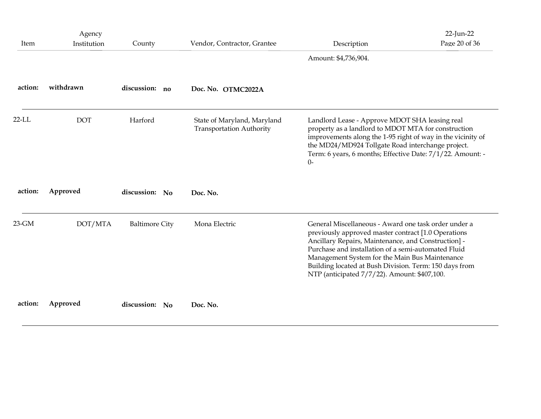|          | Agency      |                       |                                                                |                                                                                                                                                                                                                                                                                                                                                                                       | 22-Jun-22     |
|----------|-------------|-----------------------|----------------------------------------------------------------|---------------------------------------------------------------------------------------------------------------------------------------------------------------------------------------------------------------------------------------------------------------------------------------------------------------------------------------------------------------------------------------|---------------|
| Item     | Institution | County                | Vendor, Contractor, Grantee                                    | Description<br>Amount: \$4,736,904.                                                                                                                                                                                                                                                                                                                                                   | Page 20 of 36 |
| action:  | withdrawn   | discussion: no        | Doc. No. OTMC2022A                                             |                                                                                                                                                                                                                                                                                                                                                                                       |               |
| $22$ -LL | <b>DOT</b>  | Harford               | State of Maryland, Maryland<br><b>Transportation Authority</b> | Landlord Lease - Approve MDOT SHA leasing real<br>property as a landlord to MDOT MTA for construction<br>improvements along the 1-95 right of way in the vicinity of<br>the MD24/MD924 Tollgate Road interchange project.<br>Term: 6 years, 6 months; Effective Date: 7/1/22. Amount: -<br>$0-$                                                                                       |               |
| action:  | Approved    | discussion: No        | Doc. No.                                                       |                                                                                                                                                                                                                                                                                                                                                                                       |               |
| 23-GM    | DOT/MTA     | <b>Baltimore City</b> | Mona Electric                                                  | General Miscellaneous - Award one task order under a<br>previously approved master contract [1.0 Operations<br>Ancillary Repairs, Maintenance, and Construction] -<br>Purchase and installation of a semi-automated Fluid<br>Management System for the Main Bus Maintenance<br>Building located at Bush Division. Term: 150 days from<br>NTP (anticipated 7/7/22). Amount: \$407,100. |               |
| action:  | Approved    | discussion: No        | Doc. No.                                                       |                                                                                                                                                                                                                                                                                                                                                                                       |               |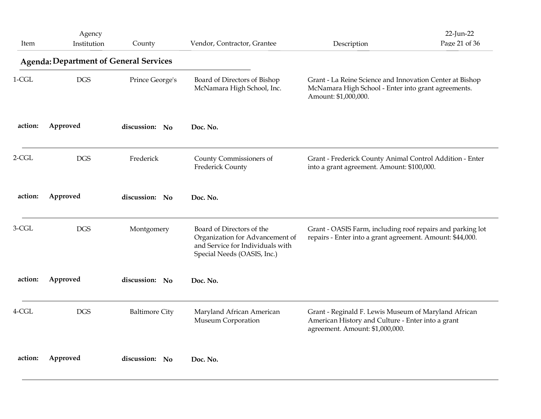|          | Agency                                        |                       |                                                                                                                                 |                                                                                                                                              | 22-Jun-22     |
|----------|-----------------------------------------------|-----------------------|---------------------------------------------------------------------------------------------------------------------------------|----------------------------------------------------------------------------------------------------------------------------------------------|---------------|
| Item     | Institution                                   | County                | Vendor, Contractor, Grantee                                                                                                     | Description                                                                                                                                  | Page 21 of 36 |
|          | <b>Agenda: Department of General Services</b> |                       |                                                                                                                                 |                                                                                                                                              |               |
| $1-CGL$  | <b>DGS</b>                                    | Prince George's       | Board of Directors of Bishop<br>McNamara High School, Inc.                                                                      | Grant - La Reine Science and Innovation Center at Bishop<br>McNamara High School - Enter into grant agreements.<br>Amount: \$1,000,000.      |               |
| action:  | Approved                                      | discussion: No        | Doc. No.                                                                                                                        |                                                                                                                                              |               |
| $2-CGL$  | <b>DGS</b>                                    | Frederick             | County Commissioners of<br>Frederick County                                                                                     | Grant - Frederick County Animal Control Addition - Enter<br>into a grant agreement. Amount: \$100,000.                                       |               |
| action:  | Approved                                      | discussion: No        | Doc. No.                                                                                                                        |                                                                                                                                              |               |
| $3-CGL$  | <b>DGS</b>                                    | Montgomery            | Board of Directors of the<br>Organization for Advancement of<br>and Service for Individuals with<br>Special Needs (OASIS, Inc.) | Grant - OASIS Farm, including roof repairs and parking lot<br>repairs - Enter into a grant agreement. Amount: \$44,000.                      |               |
| action:  | Approved                                      | discussion: No        | Doc. No.                                                                                                                        |                                                                                                                                              |               |
| $4$ -CGL | <b>DGS</b>                                    | <b>Baltimore City</b> | Maryland African American<br>Museum Corporation                                                                                 | Grant - Reginald F. Lewis Museum of Maryland African<br>American History and Culture - Enter into a grant<br>agreement. Amount: \$1,000,000. |               |
| action:  | Approved                                      | discussion: No        | Doc. No.                                                                                                                        |                                                                                                                                              |               |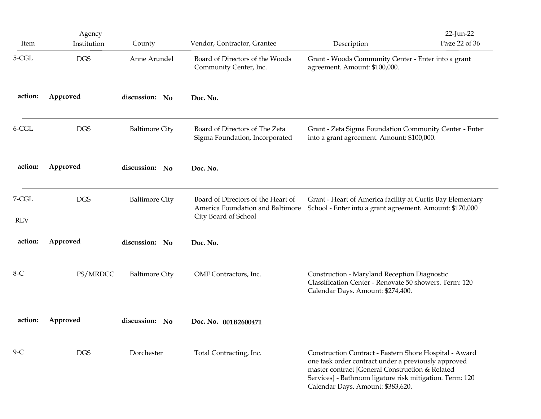| Item                  | Agency<br>Institution | County                | Vendor, Contractor, Grantee                                                                    | Description                                                                                                                                                                                                                                                       | 22-Jun-22<br>Page 22 of 36 |
|-----------------------|-----------------------|-----------------------|------------------------------------------------------------------------------------------------|-------------------------------------------------------------------------------------------------------------------------------------------------------------------------------------------------------------------------------------------------------------------|----------------------------|
| 5-CGL                 | <b>DGS</b>            | Anne Arundel          | Board of Directors of the Woods<br>Community Center, Inc.                                      | Grant - Woods Community Center - Enter into a grant<br>agreement. Amount: \$100,000.                                                                                                                                                                              |                            |
| action:               | Approved              | discussion: No        | Doc. No.                                                                                       |                                                                                                                                                                                                                                                                   |                            |
| $6$ -CGL              | <b>DGS</b>            | <b>Baltimore City</b> | Board of Directors of The Zeta<br>Sigma Foundation, Incorporated                               | Grant - Zeta Sigma Foundation Community Center - Enter<br>into a grant agreement. Amount: \$100,000.                                                                                                                                                              |                            |
| action:               | Approved              | discussion: No        | Doc. No.                                                                                       |                                                                                                                                                                                                                                                                   |                            |
| $7-CGL$<br><b>REV</b> | $_{\rm DGS}$          | <b>Baltimore City</b> | Board of Directors of the Heart of<br>America Foundation and Baltimore<br>City Board of School | Grant - Heart of America facility at Curtis Bay Elementary<br>School - Enter into a grant agreement. Amount: \$170,000                                                                                                                                            |                            |
| action:               | Approved              | discussion: No        | Doc. No.                                                                                       |                                                                                                                                                                                                                                                                   |                            |
| $8-C$                 | PS/MRDCC              | <b>Baltimore City</b> | OMF Contractors, Inc.                                                                          | Construction - Maryland Reception Diagnostic<br>Classification Center - Renovate 50 showers. Term: 120<br>Calendar Days. Amount: \$274,400.                                                                                                                       |                            |
| action:               | Approved              | discussion: No        | Doc. No. 001B2600471                                                                           |                                                                                                                                                                                                                                                                   |                            |
| $9-C$                 | $_{\rm DGS}$          | Dorchester            | Total Contracting, Inc.                                                                        | Construction Contract - Eastern Shore Hospital - Award<br>one task order contract under a previously approved<br>master contract [General Construction & Related<br>Services] - Bathroom ligature risk mitigation. Term: 120<br>Calendar Days. Amount: \$383,620. |                            |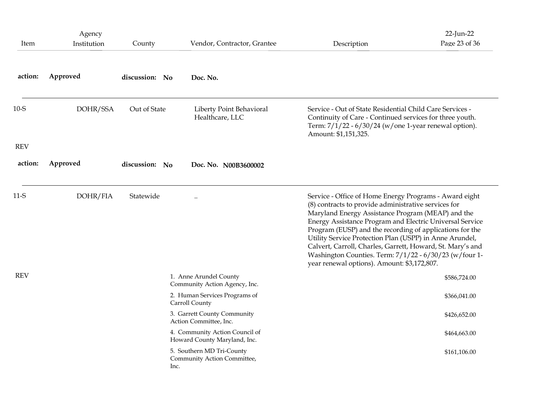| Item       | Agency<br>Institution                                                   | County         | Vendor, Contractor, Grantee                                                                                                                                                                           | Description                                                                                                                                                                                                                                                                                                                                                                                                                                                                                                                   | 22-Jun-22<br>Page 23 of 36 |
|------------|-------------------------------------------------------------------------|----------------|-------------------------------------------------------------------------------------------------------------------------------------------------------------------------------------------------------|-------------------------------------------------------------------------------------------------------------------------------------------------------------------------------------------------------------------------------------------------------------------------------------------------------------------------------------------------------------------------------------------------------------------------------------------------------------------------------------------------------------------------------|----------------------------|
| action:    | Approved                                                                | discussion: No | Doc. No.                                                                                                                                                                                              |                                                                                                                                                                                                                                                                                                                                                                                                                                                                                                                               |                            |
| $10-S$     | DOHR/SSA<br>Out of State<br>Liberty Point Behavioral<br>Healthcare, LLC |                | Service - Out of State Residential Child Care Services -<br>Continuity of Care - Continued services for three youth.<br>Term: 7/1/22 - 6/30/24 (w/one 1-year renewal option).<br>Amount: \$1,151,325. |                                                                                                                                                                                                                                                                                                                                                                                                                                                                                                                               |                            |
| <b>REV</b> |                                                                         |                |                                                                                                                                                                                                       |                                                                                                                                                                                                                                                                                                                                                                                                                                                                                                                               |                            |
| action:    | Approved                                                                | discussion: No | Doc. No. N00B3600002                                                                                                                                                                                  |                                                                                                                                                                                                                                                                                                                                                                                                                                                                                                                               |                            |
| $11-S$     | DOHR/FIA                                                                | Statewide      | $\ddotsc$                                                                                                                                                                                             | Service - Office of Home Energy Programs - Award eight<br>(8) contracts to provide administrative services for<br>Maryland Energy Assistance Program (MEAP) and the<br>Energy Assistance Program and Electric Universal Service<br>Program (EUSP) and the recording of applications for the<br>Utility Service Protection Plan (USPP) in Anne Arundel,<br>Calvert, Carroll, Charles, Garrett, Howard, St. Mary's and<br>Washington Counties. Term: 7/1/22 - 6/30/23 (w/four 1-<br>year renewal options). Amount: \$3,172,807. |                            |
| <b>REV</b> |                                                                         |                | 1. Anne Arundel County<br>Community Action Agency, Inc.                                                                                                                                               |                                                                                                                                                                                                                                                                                                                                                                                                                                                                                                                               | \$586,724.00               |
|            |                                                                         |                | 2. Human Services Programs of<br>Carroll County                                                                                                                                                       |                                                                                                                                                                                                                                                                                                                                                                                                                                                                                                                               | \$366,041.00               |
|            |                                                                         |                | 3. Garrett County Community<br>Action Committee, Inc.                                                                                                                                                 |                                                                                                                                                                                                                                                                                                                                                                                                                                                                                                                               | \$426,652.00               |
|            |                                                                         |                | 4. Community Action Council of                                                                                                                                                                        |                                                                                                                                                                                                                                                                                                                                                                                                                                                                                                                               | \$464,663.00               |
|            |                                                                         |                | Howard County Maryland, Inc.                                                                                                                                                                          |                                                                                                                                                                                                                                                                                                                                                                                                                                                                                                                               |                            |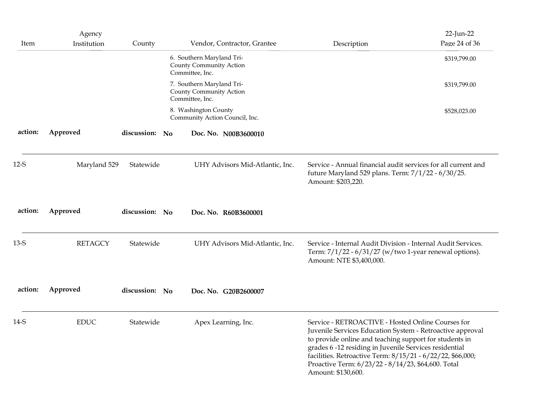| Item    | Agency<br>Institution | County         | Vendor, Contractor, Grantee                                             | Description                                                                                                                                                                                                                                                                                                                                                                  | 22-Jun-22<br>Page 24 of 36 |
|---------|-----------------------|----------------|-------------------------------------------------------------------------|------------------------------------------------------------------------------------------------------------------------------------------------------------------------------------------------------------------------------------------------------------------------------------------------------------------------------------------------------------------------------|----------------------------|
|         |                       |                | 6. Southern Maryland Tri-<br>County Community Action<br>Committee, Inc. |                                                                                                                                                                                                                                                                                                                                                                              | \$319,799.00               |
|         |                       |                | 7. Southern Maryland Tri-<br>County Community Action<br>Committee, Inc. |                                                                                                                                                                                                                                                                                                                                                                              | \$319,799.00               |
|         |                       |                | 8. Washington County<br>Community Action Council, Inc.                  |                                                                                                                                                                                                                                                                                                                                                                              | \$528,023.00               |
| action: | Approved              | discussion: No | Doc. No. N00B3600010                                                    |                                                                                                                                                                                                                                                                                                                                                                              |                            |
| $12-S$  | Maryland 529          | Statewide      | UHY Advisors Mid-Atlantic, Inc.                                         | Service - Annual financial audit services for all current and<br>future Maryland 529 plans. Term: 7/1/22 - 6/30/25.<br>Amount: \$203,220.                                                                                                                                                                                                                                    |                            |
| action: | Approved              | discussion: No | Doc. No. R60B3600001                                                    |                                                                                                                                                                                                                                                                                                                                                                              |                            |
| $13-S$  | <b>RETAGCY</b>        | Statewide      | UHY Advisors Mid-Atlantic, Inc.                                         | Service - Internal Audit Division - Internal Audit Services.<br>Term: $7/1/22 - 6/31/27$ (w/two 1-year renewal options).<br>Amount: NTE \$3,400,000.                                                                                                                                                                                                                         |                            |
| action: | Approved              | discussion: No | Doc. No. G20B2600007                                                    |                                                                                                                                                                                                                                                                                                                                                                              |                            |
| 14-S    | <b>EDUC</b>           | Statewide      | Apex Learning, Inc.                                                     | Service - RETROACTIVE - Hosted Online Courses for<br>Juvenile Services Education System - Retroactive approval<br>to provide online and teaching support for students in<br>grades 6 -12 residing in Juvenile Services residential<br>facilities. Retroactive Term: 8/15/21 - 6/22/22, \$66,000;<br>Proactive Term: 6/23/22 - 8/14/23, \$64,600. Total<br>Amount: \$130,600. |                            |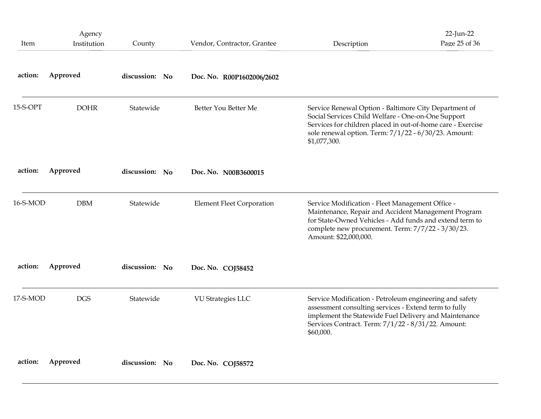| Item     | Agency<br>Institution | County         | Vendor, Contractor, Grantee      | Description                                                                                                                                                                                                                                        | 22-Jun-22<br>Page 25 of 36 |
|----------|-----------------------|----------------|----------------------------------|----------------------------------------------------------------------------------------------------------------------------------------------------------------------------------------------------------------------------------------------------|----------------------------|
| action:  | Approved              | discussion: No | Doc. No. R00P1602006/2602        |                                                                                                                                                                                                                                                    |                            |
| 15-S-OPT | <b>DOHR</b>           | Statewide      | Better You Better Me             | Service Renewal Option - Baltimore City Department of<br>Social Services Child Welfare - One-on-One Support<br>Services for children placed in out-of-home care - Exercise<br>sole renewal option. Term: 7/1/22 - 6/30/23. Amount:<br>\$1,077,300. |                            |
| action:  | Approved              | discussion: No | Doc. No. N00B3600015             |                                                                                                                                                                                                                                                    |                            |
| 16-S-MOD | <b>DBM</b>            | Statewide      | <b>Element Fleet Corporation</b> | Service Modification - Fleet Management Office -<br>Maintenance, Repair and Accident Management Program<br>for State-Owned Vehicles - Add funds and extend term to<br>complete new procurement. Term: 7/7/22 - 3/30/23.<br>Amount: \$22,000,000.   |                            |
| action:  | Approved              | discussion: No | Doc. No. COJ58452                |                                                                                                                                                                                                                                                    |                            |
| 17-S-MOD | <b>DGS</b>            | Statewide      | VU Strategies LLC                | Service Modification - Petroleum engineering and safety<br>assessment consulting services - Extend term to fully<br>implement the Statewide Fuel Delivery and Maintenance<br>Services Contract. Term: 7/1/22 - 8/31/22. Amount:<br>\$60,000.       |                            |
|          | Approved              | discussion: No |                                  |                                                                                                                                                                                                                                                    |                            |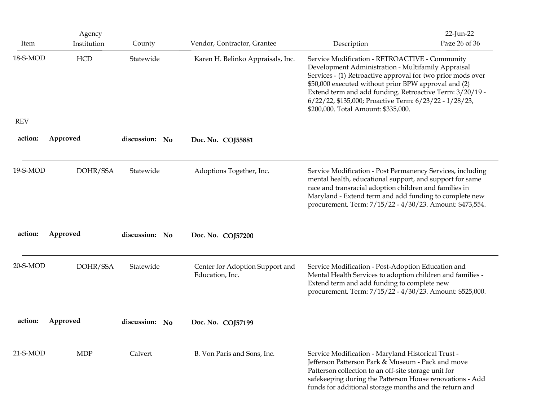| Item       | Agency<br>Institution | County         | Vendor, Contractor, Grantee                        | Description                                                                                                                                                                                                                                                                                                                                                                              | 22-Jun-22<br>Page 26 of 36 |
|------------|-----------------------|----------------|----------------------------------------------------|------------------------------------------------------------------------------------------------------------------------------------------------------------------------------------------------------------------------------------------------------------------------------------------------------------------------------------------------------------------------------------------|----------------------------|
| 18-S-MOD   | HCD                   | Statewide      | Karen H. Belinko Appraisals, Inc.                  | Service Modification - RETROACTIVE - Community<br>Development Administration - Multifamily Appraisal<br>Services - (1) Retroactive approval for two prior mods over<br>\$50,000 executed without prior BPW approval and (2)<br>Extend term and add funding. Retroactive Term: 3/20/19 -<br>6/22/22, \$135,000; Proactive Term: 6/23/22 - 1/28/23,<br>\$200,000. Total Amount: \$335,000. |                            |
| <b>REV</b> |                       |                |                                                    |                                                                                                                                                                                                                                                                                                                                                                                          |                            |
| action:    | Approved              | discussion: No | Doc. No. COJ55881                                  |                                                                                                                                                                                                                                                                                                                                                                                          |                            |
| 19-S-MOD   | DOHR/SSA              | Statewide      | Adoptions Together, Inc.                           | Service Modification - Post Permanency Services, including<br>mental health, educational support, and support for same<br>race and transracial adoption children and families in<br>Maryland - Extend term and add funding to complete new<br>procurement. Term: 7/15/22 - 4/30/23. Amount: \$473,554.                                                                                   |                            |
| action:    | Approved              | discussion: No | Doc. No. COJ57200                                  |                                                                                                                                                                                                                                                                                                                                                                                          |                            |
| 20-S-MOD   | DOHR/SSA              | Statewide      | Center for Adoption Support and<br>Education, Inc. | Service Modification - Post-Adoption Education and<br>Mental Health Services to adoption children and families -<br>Extend term and add funding to complete new<br>procurement. Term: 7/15/22 - 4/30/23. Amount: \$525,000.                                                                                                                                                              |                            |
| action:    | Approved              | discussion: No | Doc. No. COJ57199                                  |                                                                                                                                                                                                                                                                                                                                                                                          |                            |
| 21-S-MOD   | <b>MDP</b>            | Calvert        | B. Von Paris and Sons, Inc.                        | Service Modification - Maryland Historical Trust -<br>Jefferson Patterson Park & Museum - Pack and move<br>Patterson collection to an off-site storage unit for                                                                                                                                                                                                                          |                            |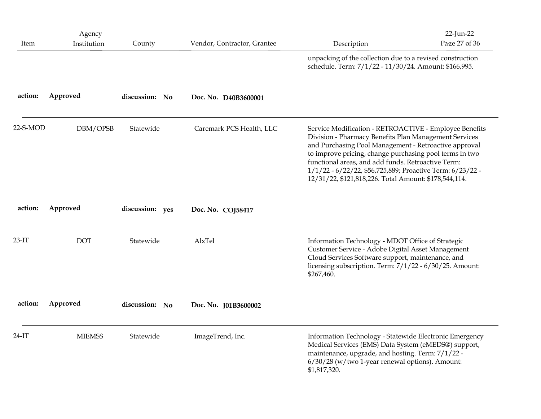| Item     | Agency<br>Institution | County          | Vendor, Contractor, Grantee | Description                                                                                                                                                                                                                                                                                                                                                                                                     | 22-Jun-22<br>Page 27 of 36 |
|----------|-----------------------|-----------------|-----------------------------|-----------------------------------------------------------------------------------------------------------------------------------------------------------------------------------------------------------------------------------------------------------------------------------------------------------------------------------------------------------------------------------------------------------------|----------------------------|
|          |                       |                 |                             | unpacking of the collection due to a revised construction<br>schedule. Term: 7/1/22 - 11/30/24. Amount: \$166,995.                                                                                                                                                                                                                                                                                              |                            |
| action:  | Approved              | discussion: No  | Doc. No. D40B3600001        |                                                                                                                                                                                                                                                                                                                                                                                                                 |                            |
| 22-S-MOD | DBM/OPSB              | Statewide       | Caremark PCS Health, LLC    | Service Modification - RETROACTIVE - Employee Benefits<br>Division - Pharmacy Benefits Plan Management Services<br>and Purchasing Pool Management - Retroactive approval<br>to improve pricing, change purchasing pool terms in two<br>functional areas, and add funds. Retroactive Term:<br>1/1/22 - 6/22/22, \$56,725,889; Proactive Term: 6/23/22 -<br>12/31/22, \$121,818,226. Total Amount: \$178,544,114. |                            |
| action:  | Approved              | discussion: yes | Doc. No. COJ58417           |                                                                                                                                                                                                                                                                                                                                                                                                                 |                            |
| $23-IT$  | <b>DOT</b>            | Statewide       | AlxTel                      | Information Technology - MDOT Office of Strategic<br>Customer Service - Adobe Digital Asset Management<br>Cloud Services Software support, maintenance, and<br>licensing subscription. Term: 7/1/22 - 6/30/25. Amount:<br>\$267,460.                                                                                                                                                                            |                            |
| action:  | Approved              | discussion: No  | Doc. No. J01B3600002        |                                                                                                                                                                                                                                                                                                                                                                                                                 |                            |
| $24-IT$  | <b>MIEMSS</b>         | Statewide       | ImageTrend, Inc.            | Information Technology - Statewide Electronic Emergency<br>Medical Services (EMS) Data System (eMEDS®) support,<br>maintenance, upgrade, and hosting. Term: 7/1/22 -<br>6/30/28 (w/two 1-year renewal options). Amount:<br>\$1,817,320.                                                                                                                                                                         |                            |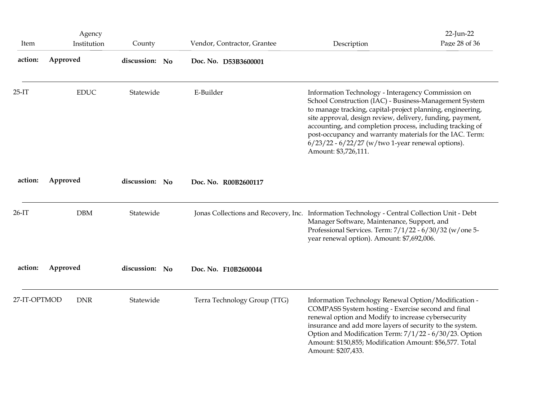|              | Agency      |                |                                                                                              |                                                                                                                                                                                                                                                                                                                                                                                                                                                   | 22-Jun-22     |
|--------------|-------------|----------------|----------------------------------------------------------------------------------------------|---------------------------------------------------------------------------------------------------------------------------------------------------------------------------------------------------------------------------------------------------------------------------------------------------------------------------------------------------------------------------------------------------------------------------------------------------|---------------|
| Item         | Institution | County         | Vendor, Contractor, Grantee                                                                  | Description                                                                                                                                                                                                                                                                                                                                                                                                                                       | Page 28 of 36 |
| action:      | Approved    | discussion: No | Doc. No. D53B3600001                                                                         |                                                                                                                                                                                                                                                                                                                                                                                                                                                   |               |
| $25-IT$      | <b>EDUC</b> | Statewide      | E-Builder                                                                                    | Information Technology - Interagency Commission on<br>School Construction (IAC) - Business-Management System<br>to manage tracking, capital-project planning, engineering,<br>site approval, design review, delivery, funding, payment,<br>accounting, and completion process, including tracking of<br>post-occupancy and warranty materials for the IAC. Term:<br>$6/23/22$ - $6/22/27$ (w/two 1-year renewal options).<br>Amount: \$3,726,111. |               |
| action:      | Approved    | discussion: No | Doc. No. R00B2600117                                                                         |                                                                                                                                                                                                                                                                                                                                                                                                                                                   |               |
| $26-IT$      | <b>DBM</b>  | Statewide      | Jonas Collections and Recovery, Inc. Information Technology - Central Collection Unit - Debt | Manager Software, Maintenance, Support, and<br>Professional Services. Term: 7/1/22 - 6/30/32 (w/one 5-<br>year renewal option). Amount: \$7,692,006.                                                                                                                                                                                                                                                                                              |               |
| action:      | Approved    | discussion: No | Doc. No. F10B2600044                                                                         |                                                                                                                                                                                                                                                                                                                                                                                                                                                   |               |
| 27-IT-OPTMOD | <b>DNR</b>  | Statewide      | Terra Technology Group (TTG)                                                                 | Information Technology Renewal Option/Modification -<br>COMPASS System hosting - Exercise second and final<br>renewal option and Modify to increase cybersecurity<br>insurance and add more layers of security to the system.<br>Option and Modification Term: 7/1/22 - 6/30/23. Option<br>Amount: \$150,855; Modification Amount: \$56,577. Total<br>Amount: \$207,433.                                                                          |               |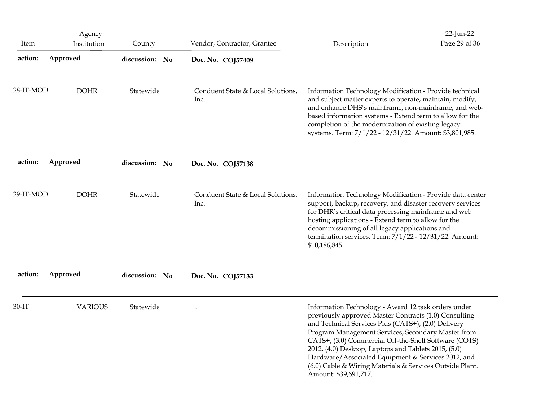| Item      | Agency<br>Institution | County         | Vendor, Contractor, Grantee               | Description                                                                                                                                                                                                                                                                                                                                                                                                                                                                           | $22$ -Jun-22<br>Page 29 of 36 |
|-----------|-----------------------|----------------|-------------------------------------------|---------------------------------------------------------------------------------------------------------------------------------------------------------------------------------------------------------------------------------------------------------------------------------------------------------------------------------------------------------------------------------------------------------------------------------------------------------------------------------------|-------------------------------|
| action:   | Approved              | discussion: No | Doc. No. COJ57409                         |                                                                                                                                                                                                                                                                                                                                                                                                                                                                                       |                               |
| 28-IT-MOD | <b>DOHR</b>           | Statewide      | Conduent State & Local Solutions,<br>Inc. | Information Technology Modification - Provide technical<br>and subject matter experts to operate, maintain, modify,<br>and enhance DHS's mainframe, non-mainframe, and web-<br>based information systems - Extend term to allow for the<br>completion of the modernization of existing legacy<br>systems. Term: 7/1/22 - 12/31/22. Amount: \$3,801,985.                                                                                                                               |                               |
| action:   | Approved              | discussion: No | Doc. No. COJ57138                         |                                                                                                                                                                                                                                                                                                                                                                                                                                                                                       |                               |
| 29-IT-MOD | <b>DOHR</b>           | Statewide      | Conduent State & Local Solutions,<br>Inc. | Information Technology Modification - Provide data center<br>support, backup, recovery, and disaster recovery services<br>for DHR's critical data processing mainframe and web<br>hosting applications - Extend term to allow for the<br>decommissioning of all legacy applications and<br>termination services. Term: 7/1/22 - 12/31/22. Amount:<br>\$10,186,845.                                                                                                                    |                               |
| action:   | Approved              | discussion: No | Doc. No. COJ57133                         |                                                                                                                                                                                                                                                                                                                                                                                                                                                                                       |                               |
| $30-IT$   | <b>VARIOUS</b>        | Statewide      | $\ddotsc$                                 | Information Technology - Award 12 task orders under<br>previously approved Master Contracts (1.0) Consulting<br>and Technical Services Plus (CATS+), (2.0) Delivery<br>Program Management Services, Secondary Master from<br>CATS+, (3.0) Commercial Off-the-Shelf Software (COTS)<br>2012, (4.0) Desktop, Laptops and Tablets 2015, (5.0)<br>Hardware/Associated Equipment & Services 2012, and<br>(6.0) Cable & Wiring Materials & Services Outside Plant.<br>Amount: \$39,691,717. |                               |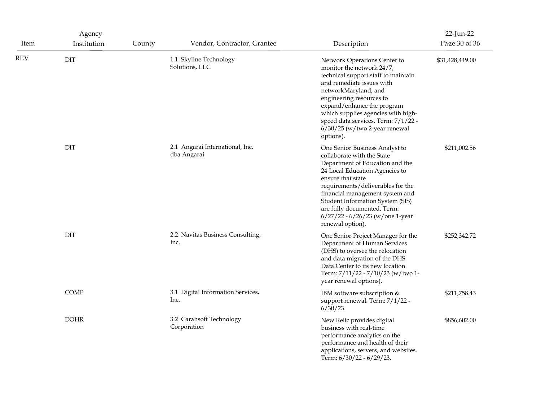|      | Agency      |        |                                                |                                                                                                                                                                                                                                                                                                                                                          | 22-Jun-22       |
|------|-------------|--------|------------------------------------------------|----------------------------------------------------------------------------------------------------------------------------------------------------------------------------------------------------------------------------------------------------------------------------------------------------------------------------------------------------------|-----------------|
| Item | Institution | County | Vendor, Contractor, Grantee                    | Description                                                                                                                                                                                                                                                                                                                                              | Page 30 of 36   |
| REV  | DIT         |        | 1.1 Skyline Technology<br>Solutions, LLC       | Network Operations Center to<br>monitor the network 24/7,<br>technical support staff to maintain<br>and remediate issues with<br>networkMaryland, and<br>engineering resources to<br>expand/enhance the program<br>which supplies agencies with high-<br>speed data services. Term: 7/1/22 -<br>$6/30/25$ (w/two 2-year renewal<br>options).             | \$31,428,449.00 |
|      | DIT         |        | 2.1 Angarai International, Inc.<br>dba Angarai | One Senior Business Analyst to<br>collaborate with the State<br>Department of Education and the<br>24 Local Education Agencies to<br>ensure that state<br>requirements/deliverables for the<br>financial management system and<br>Student Information System (SIS)<br>are fully documented. Term:<br>6/27/22 - 6/26/23 (w/one 1-year<br>renewal option). | \$211,002.56    |
|      | <b>DIT</b>  |        | 2.2 Navitas Business Consulting,<br>Inc.       | One Senior Project Manager for the<br>Department of Human Services<br>(DHS) to oversee the relocation<br>and data migration of the DHS<br>Data Center to its new location.<br>Term: 7/11/22 - 7/10/23 (w/two 1-<br>year renewal options).                                                                                                                | \$252,342.72    |
|      | COMP        |        | 3.1 Digital Information Services,<br>Inc.      | IBM software subscription &<br>support renewal. Term: 7/1/22 -<br>$6/30/23$ .                                                                                                                                                                                                                                                                            | \$211,758.43    |
|      | <b>DOHR</b> |        | 3.2 Carahsoft Technology<br>Corporation        | New Relic provides digital<br>business with real-time<br>performance analytics on the<br>performance and health of their<br>applications, servers, and websites.<br>Term: 6/30/22 - 6/29/23.                                                                                                                                                             | \$856,602.00    |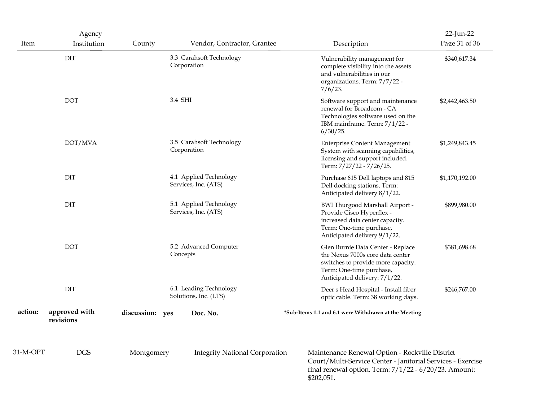| Item     | Agency<br>Institution      | County          | Vendor, Contractor, Grantee                     | Description                                                                                                                                                                              | 22-Jun-22<br>Page 31 of 36 |
|----------|----------------------------|-----------------|-------------------------------------------------|------------------------------------------------------------------------------------------------------------------------------------------------------------------------------------------|----------------------------|
|          | DIT                        |                 | 3.3 Carahsoft Technology<br>Corporation         | Vulnerability management for<br>complete visibility into the assets<br>and vulnerabilities in our<br>organizations. Term: 7/7/22 -<br>$7/6/23$ .                                         | \$340,617.34               |
|          | <b>DOT</b>                 |                 | 3.4 SHI                                         | Software support and maintenance<br>renewal for Broadcom - CA<br>Technologies software used on the<br>IBM mainframe. Term: 7/1/22 -<br>6/30/25.                                          | \$2,442,463.50             |
|          | DOT/MVA                    |                 | 3.5 Carahsoft Technology<br>Corporation         | <b>Enterprise Content Management</b><br>System with scanning capabilities,<br>licensing and support included.<br>Term: 7/27/22 - 7/26/25.                                                | \$1,249,843.45             |
|          | DIT                        |                 | 4.1 Applied Technology<br>Services, Inc. (ATS)  | Purchase 615 Dell laptops and 815<br>Dell docking stations. Term:<br>Anticipated delivery 8/1/22.                                                                                        | \$1,170,192.00             |
|          | DIT                        |                 | 5.1 Applied Technology<br>Services, Inc. (ATS)  | BWI Thurgood Marshall Airport -<br>Provide Cisco Hyperflex -<br>increased data center capacity.<br>Term: One-time purchase,<br>Anticipated delivery 9/1/22.                              | \$899,980.00               |
|          | <b>DOT</b>                 |                 | 5.2 Advanced Computer<br>Concepts               | Glen Burnie Data Center - Replace<br>the Nexus 7000s core data center<br>switches to provide more capacity.<br>Term: One-time purchase,<br>Anticipated delivery: 7/1/22.                 | \$381,698.68               |
|          | $\rm{DIT}$                 |                 | 6.1 Leading Technology<br>Solutions, Inc. (LTS) | Deer's Head Hospital - Install fiber<br>optic cable. Term: 38 working days.                                                                                                              | \$246,767.00               |
| action:  | approved with<br>revisions | discussion: yes | Doc. No.                                        | *Sub-Items 1.1 and 6.1 were Withdrawn at the Meeting                                                                                                                                     |                            |
| 31-M-OPT | $_{\rm DGS}$               | Montgomery      | <b>Integrity National Corporation</b>           | Maintenance Renewal Option - Rockville District<br>Court/Multi-Service Center - Janitorial Services - Exercise<br>final renewal option. Term: $7/1/22 - 6/20/23$ . Amount:<br>\$202,051. |                            |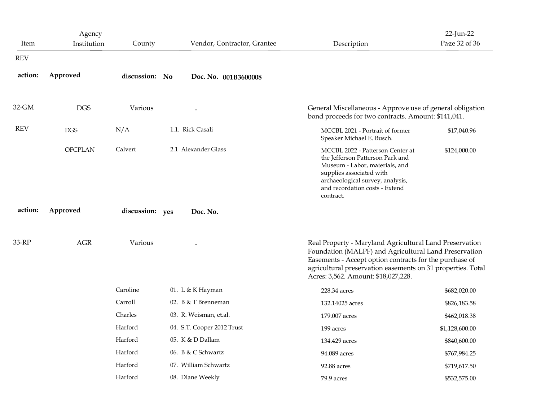| Item       | Agency<br>Institution | County          | Vendor, Contractor, Grantee | Description                                                                                                                                                                                                                                                                       | 22-Jun-22<br>Page 32 of 36 |
|------------|-----------------------|-----------------|-----------------------------|-----------------------------------------------------------------------------------------------------------------------------------------------------------------------------------------------------------------------------------------------------------------------------------|----------------------------|
| <b>REV</b> |                       |                 |                             |                                                                                                                                                                                                                                                                                   |                            |
| action:    | Approved              | discussion: No  | Doc. No. 001B3600008        |                                                                                                                                                                                                                                                                                   |                            |
| 32-GM      | <b>DGS</b>            | Various         | $\cdot\cdot$                | General Miscellaneous - Approve use of general obligation<br>bond proceeds for two contracts. Amount: \$141,041.                                                                                                                                                                  |                            |
| <b>REV</b> | $_{\rm DGS}$          | N/A             | 1.1. Rick Casali            | MCCBL 2021 - Portrait of former<br>Speaker Michael E. Busch.                                                                                                                                                                                                                      | \$17,040.96                |
|            | <b>OFCPLAN</b>        | Calvert         | 2.1 Alexander Glass         | MCCBL 2022 - Patterson Center at<br>the Jefferson Patterson Park and<br>Museum - Labor, materials, and<br>supplies associated with                                                                                                                                                | \$124,000.00               |
|            |                       |                 |                             | archaeological survey, analysis,<br>and recordation costs - Extend<br>contract.                                                                                                                                                                                                   |                            |
| action:    | Approved              | discussion: yes | Doc. No.                    |                                                                                                                                                                                                                                                                                   |                            |
| 33-RP      | $\rm{AGR}$            | Various         |                             | Real Property - Maryland Agricultural Land Preservation<br>Foundation (MALPF) and Agricultural Land Preservation<br>Easements - Accept option contracts for the purchase of<br>agricultural preservation easements on 31 properties. Total<br>Acres: 3,562. Amount: \$18,027,228. |                            |
|            |                       | Caroline        | 01. L & K Hayman            | 228.34 acres                                                                                                                                                                                                                                                                      | \$682,020.00               |
|            |                       | Carroll         | 02. B & T Brenneman         | 132.14025 acres                                                                                                                                                                                                                                                                   | \$826,183.58               |
|            |                       | Charles         | 03. R. Weisman, et.al.      | 179.007 acres                                                                                                                                                                                                                                                                     | \$462,018.38               |
|            |                       | Harford         | 04. S.T. Cooper 2012 Trust  | 199 acres                                                                                                                                                                                                                                                                         | \$1,128,600.00             |
|            |                       | Harford         | 05. K & D Dallam            | 134.429 acres                                                                                                                                                                                                                                                                     | \$840,600.00               |
|            |                       | Harford         | 06. B & C Schwartz          | 94.089 acres                                                                                                                                                                                                                                                                      | \$767,984.25               |
|            |                       | Harford         | 07. William Schwartz        | 92.88 acres                                                                                                                                                                                                                                                                       | \$719,617.50               |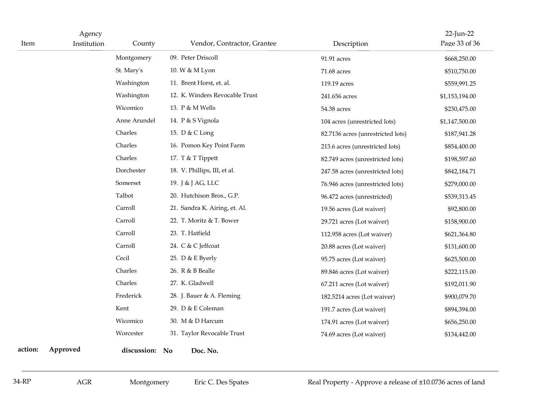| Item    | Agency<br>Institution | County         | Vendor, Contractor, Grantee    | Description                                                 | 22-Jun-22<br>Page 33 of 36 |
|---------|-----------------------|----------------|--------------------------------|-------------------------------------------------------------|----------------------------|
|         |                       | Montgomery     | 09. Peter Driscoll             | 91.91 acres                                                 | \$668,250.00               |
|         |                       | St. Mary's     | 10. W & M Lyon                 | 71.68 acres                                                 | \$510,750.00               |
|         |                       | Washington     | 11. Brent Horst, et. al.       | 119.19 acres                                                | \$559,991.25               |
|         |                       | Washington     | 12. K. Winders Revocable Trust | 241.656 acres                                               | \$1,153,194.00             |
|         |                       | Wicomico       | 13. P & M Wells                | 54.38 acres                                                 | \$230,475.00               |
|         |                       | Anne Arundel   | 14. P & S Vignola              | 104 acres (unrestricted lots)                               | \$1,147,500.00             |
|         |                       | Charles        | 15. D & C Long                 | 82.7136 acres (unrestricted lots)                           | \$187,941.28               |
|         |                       | Charles        | 16. Pomon Key Point Farm       | 213.6 acres (unrestricted lots)                             | \$854,400.00               |
|         |                       | Charles        | 17. T & T Tippett              | 82.749 acres (unrestricted lots)                            | \$198,597.60               |
|         |                       | Dorchester     | 18. V. Phillips, III, et al.   | 247.58 acres (unrestricted lots)                            | \$842,184.71               |
|         |                       | Somerset       | 19. J & J AG, LLC              | 76.946 acres (unrestricted lots)                            | \$279,000.00               |
|         |                       | Talbot         | 20. Hutchison Bros., G.P.      | 96.472 acres (unrestricted)                                 | \$539,313.45               |
|         |                       | Carroll        | 21. Sandra K. Airing, et. Al.  | 19.56 acres (Lot waiver)                                    | \$92,800.00                |
|         |                       | Carroll        | 22. T. Moritz & T. Bower       | 29.721 acres (Lot waiver)                                   | \$158,900.00               |
|         |                       | Carroll        | 23. T. Hatfield                | 112.958 acres (Lot waiver)                                  | \$621,364.80               |
|         |                       | Carroll        | 24. C & C Jeffcoat             | 20.88 acres (Lot waiver)                                    | \$131,600.00               |
|         |                       | Cecil          | 25. D & E Byerly               | 95.75 acres (Lot waiver)                                    | \$625,500.00               |
|         |                       | Charles        | 26. R & B Bealle               | 89.846 acres (Lot waiver)                                   | \$222,115.00               |
|         |                       | Charles        | 27. K. Gladwell                | 67.211 acres (Lot waiver)                                   | \$192,011.90               |
|         |                       | Frederick      | 28. J. Bauer & A. Fleming      | 182.5214 acres (Lot waiver)                                 | \$900,079.70               |
|         |                       | Kent           | 29. D & E Coleman              | 191.7 acres (Lot waiver)                                    | \$894,394.00               |
|         |                       | Wicomico       | 30. M & D Harcum               | 174.91 acres (Lot waiver)                                   | \$656,250.00               |
|         |                       | Worcester      | 31. Taylor Revocable Trust     | 74.69 acres (Lot waiver)                                    | \$134,442.00               |
| action: | Approved              | discussion: No | Doc. No.                       |                                                             |                            |
| 34-RP   | $\rm{AGR}$            | Montgomery     | Eric C. Des Spates             | Real Property - Approve a release of ±10.0736 acres of land |                            |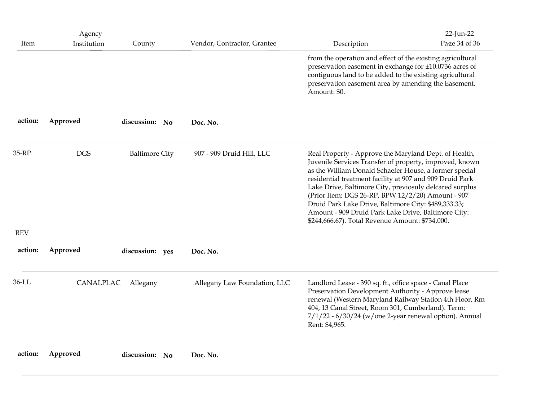| Item                | Agency<br>Institution | County                | Vendor, Contractor, Grantee  | Description                                                                                                                                                                                                                                                                                                                                                                                                                                                                                                              | 22-Jun-22<br>Page 34 of 36 |
|---------------------|-----------------------|-----------------------|------------------------------|--------------------------------------------------------------------------------------------------------------------------------------------------------------------------------------------------------------------------------------------------------------------------------------------------------------------------------------------------------------------------------------------------------------------------------------------------------------------------------------------------------------------------|----------------------------|
|                     |                       |                       |                              | from the operation and effect of the existing agricultural<br>preservation easement in exchange for ±10.0736 acres of<br>contiguous land to be added to the existing agricultural<br>preservation easement area by amending the Easement.<br>Amount: \$0.                                                                                                                                                                                                                                                                |                            |
| action:             | Approved              | discussion: No        | Doc. No.                     |                                                                                                                                                                                                                                                                                                                                                                                                                                                                                                                          |                            |
| 35-RP<br><b>REV</b> | <b>DGS</b>            | <b>Baltimore City</b> | 907 - 909 Druid Hill, LLC    | Real Property - Approve the Maryland Dept. of Health,<br>Juvenile Services Transfer of property, improved, known<br>as the William Donald Schaefer House, a former special<br>residential treatment facility at 907 and 909 Druid Park<br>Lake Drive, Baltimore City, previosuly delcared surplus<br>(Prior Item: DGS 26-RP, BPW 12/2/20) Amount - 907<br>Druid Park Lake Drive, Baltimore City: \$489,333.33;<br>Amount - 909 Druid Park Lake Drive, Baltimore City:<br>\$244,666.67). Total Revenue Amount: \$734,000. |                            |
| action:             | Approved              | discussion: yes       | Doc. No.                     |                                                                                                                                                                                                                                                                                                                                                                                                                                                                                                                          |                            |
| 36-LL               | CANALPLAC             | Allegany              | Allegany Law Foundation, LLC | Landlord Lease - 390 sq. ft., office space - Canal Place<br>Preservation Development Authority - Approve lease<br>renewal (Western Maryland Railway Station 4th Floor, Rm<br>404, 13 Canal Street, Room 301, Cumberland). Term:<br>$7/1/22$ - $6/30/24$ (w/one 2-year renewal option). Annual<br>Rent: \$4,965.                                                                                                                                                                                                          |                            |
| action:             | Approved              | discussion: No        | Doc. No.                     |                                                                                                                                                                                                                                                                                                                                                                                                                                                                                                                          |                            |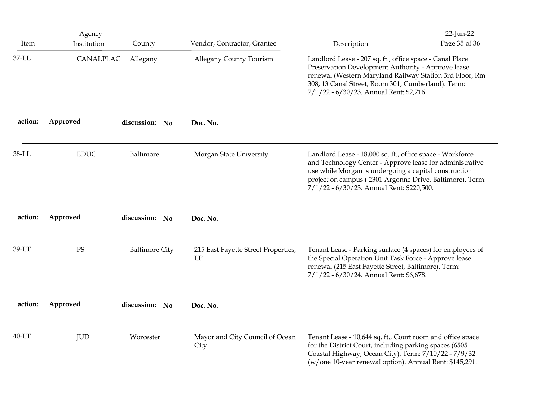|                  | Agency                   |                       | Vendor, Contractor, Grantee               |                                                                                                                                                                                                                                                                                           | 22-Jun-22     |
|------------------|--------------------------|-----------------------|-------------------------------------------|-------------------------------------------------------------------------------------------------------------------------------------------------------------------------------------------------------------------------------------------------------------------------------------------|---------------|
| Item<br>$37$ -LL | Institution<br>CANALPLAC | County<br>Allegany    | Allegany County Tourism                   | Description<br>Landlord Lease - 207 sq. ft., office space - Canal Place<br>Preservation Development Authority - Approve lease<br>renewal (Western Maryland Railway Station 3rd Floor, Rm<br>308, 13 Canal Street, Room 301, Cumberland). Term:<br>7/1/22 - 6/30/23. Annual Rent: \$2,716. | Page 35 of 36 |
| action:          | Approved                 | discussion: No        | Doc. No.                                  |                                                                                                                                                                                                                                                                                           |               |
| $38$ -LL         | <b>EDUC</b>              | Baltimore             | Morgan State University                   | Landlord Lease - 18,000 sq. ft., office space - Workforce<br>and Technology Center - Approve lease for administrative<br>use while Morgan is undergoing a capital construction<br>project on campus (2301 Argonne Drive, Baltimore). Term:<br>7/1/22 - 6/30/23. Annual Rent: \$220,500.   |               |
| action:          | Approved                 | discussion: No        | Doc. No.                                  |                                                                                                                                                                                                                                                                                           |               |
| 39-LT            | PS                       | <b>Baltimore City</b> | 215 East Fayette Street Properties,<br>LP | Tenant Lease - Parking surface (4 spaces) for employees of<br>the Special Operation Unit Task Force - Approve lease<br>renewal (215 East Fayette Street, Baltimore). Term:<br>7/1/22 - 6/30/24. Annual Rent: \$6,678.                                                                     |               |
| action:          | Approved                 | discussion: No        | Doc. No.                                  |                                                                                                                                                                                                                                                                                           |               |
| $40-LT$          | <b>JUD</b>               | Worcester             | Mayor and City Council of Ocean<br>City   | Tenant Lease - 10,644 sq. ft., Court room and office space<br>for the District Court, including parking spaces (6505<br>Coastal Highway, Ocean City). Term: 7/10/22 - 7/9/32<br>(w/one 10-year renewal option). Annual Rent: \$145,291.                                                   |               |